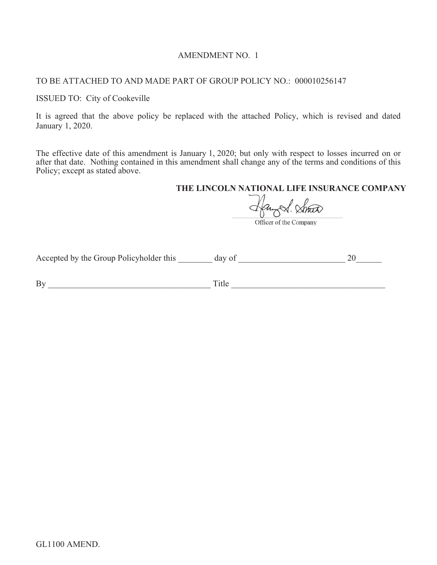## AMENDMENT NO. 1

## TO BE ATTACHED TO AND MADE PART OF GROUP POLICY NO.: 000010256147

#### ISSUED TO: City of Cookeville

It is agreed that the above policy be replaced with the attached Policy, which is revised and dated January 1, 2020.

The effective date of this amendment is January 1, 2020; but only with respect to losses incurred on or after that date. Nothing contained in this amendment shall change any of the terms and conditions of this Policy; except as stated above.

## **THE LINCOLN NATIONAL LIFE INSURANCE COMPANY**

Angel. Small

Accepted by the Group Policyholder this \_\_\_\_\_\_\_\_ day of \_\_\_\_\_\_\_\_\_\_\_\_\_\_\_\_\_\_\_\_\_\_\_\_\_ 20\_\_\_\_\_\_

By \_\_\_\_\_\_\_\_\_\_\_\_\_\_\_\_\_\_\_\_\_\_\_\_\_\_\_\_\_\_\_\_\_\_\_\_\_\_ Title \_\_\_\_\_\_\_\_\_\_\_\_\_\_\_\_\_\_\_\_\_\_\_\_\_\_\_\_\_\_\_\_\_\_\_\_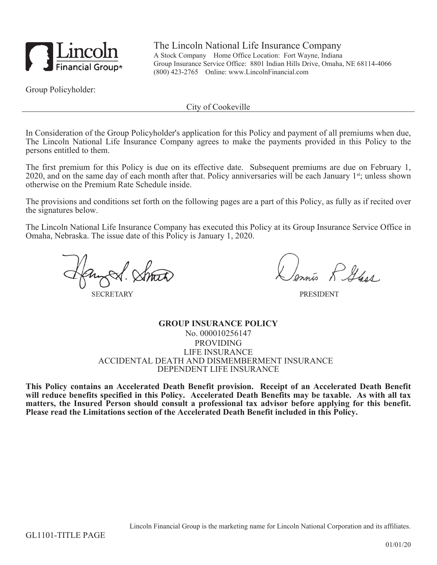

The Lincoln National Life Insurance Company A Stock Company Home Office Location: Fort Wayne, Indiana Group Insurance Service Office: 8801 Indian Hills Drive, Omaha, NE 68114-4066 (800) 423-2765 Online: www.LincolnFinancial.com

Group Policyholder:

City of Cookeville

In Consideration of the Group Policyholder's application for this Policy and payment of all premiums when due, The Lincoln National Life Insurance Company agrees to make the payments provided in this Policy to the persons entitled to them.

The first premium for this Policy is due on its effective date. Subsequent premiums are due on February 1, 2020, and on the same day of each month after that. Policy anniversaries will be each January 1<sup>st</sup>; unless shown otherwise on the Premium Rate Schedule inside.

The provisions and conditions set forth on the following pages are a part of this Policy, as fully as if recited over the signatures below.

The Lincoln National Life Insurance Company has executed this Policy at its Group Insurance Service Office in Omaha, Nebraska. The issue date of this Policy is January 1, 2020.

**SECRETARY** 

is R Gass

**PRESIDENT** 

**GROUP INSURANCE POLICY** No. 000010256147 PROVIDING LIFE INSURANCE ACCIDENTAL DEATH AND DISMEMBERMENT INSURANCE DEPENDENT LIFE INSURANCE

**This Policy contains an Accelerated Death Benefit provision. Receipt of an Accelerated Death Benefit will reduce benefits specified in this Policy. Accelerated Death Benefits may be taxable. As with all tax matters, the Insured Person should consult a professional tax advisor before applying for this benefit. Please read the Limitations section of the Accelerated Death Benefit included in this Policy.**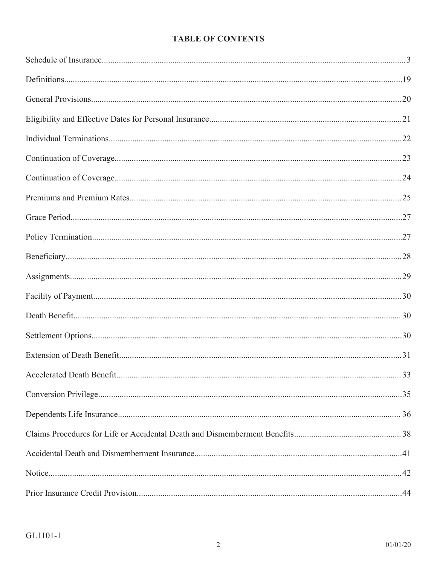# **TABLE OF CONTENTS**

| .29 |
|-----|
|     |
|     |
|     |
|     |
|     |
|     |
|     |
|     |
|     |
|     |
|     |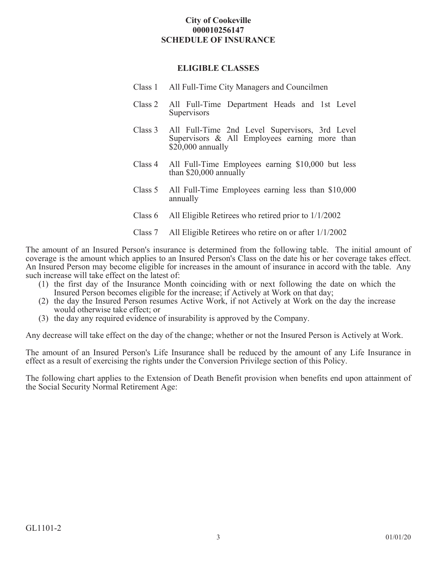## **City of Cookeville 000010256147 SCHEDULE OF INSURANCE**

### **ELIGIBLE CLASSES**

- Class 1 All Full-Time City Managers and Councilmen
- Class 2 All Full-Time Department Heads and 1st Level **Supervisors**
- Class 3 All Full-Time 2nd Level Supervisors, 3rd Level Supervisors & All Employees earning more than \$20,000 annually
- Class 4 All Full-Time Employees earning \$10,000 but less than \$20,000 annually
- Class 5 All Full-Time Employees earning less than \$10,000 annually
- Class 6 All Eligible Retirees who retired prior to 1/1/2002
- Class 7 All Eligible Retirees who retire on or after 1/1/2002

The amount of an Insured Person's insurance is determined from the following table. The initial amount of coverage is the amount which applies to an Insured Person's Class on the date his or her coverage takes effect. An Insured Person may become eligible for increases in the amount of insurance in accord with the table. Any such increase will take effect on the latest of:

- (1) the first day of the Insurance Month coinciding with or next following the date on which the Insured Person becomes eligible for the increase; if Actively at Work on that day;
- (2) the day the Insured Person resumes Active Work, if not Actively at Work on the day the increase would otherwise take effect; or
- (3) the day any required evidence of insurability is approved by the Company.

Any decrease will take effect on the day of the change; whether or not the Insured Person is Actively at Work.

The amount of an Insured Person's Life Insurance shall be reduced by the amount of any Life Insurance in effect as a result of exercising the rights under the Conversion Privilege section of this Policy.

The following chart applies to the Extension of Death Benefit provision when benefits end upon attainment of the Social Security Normal Retirement Age: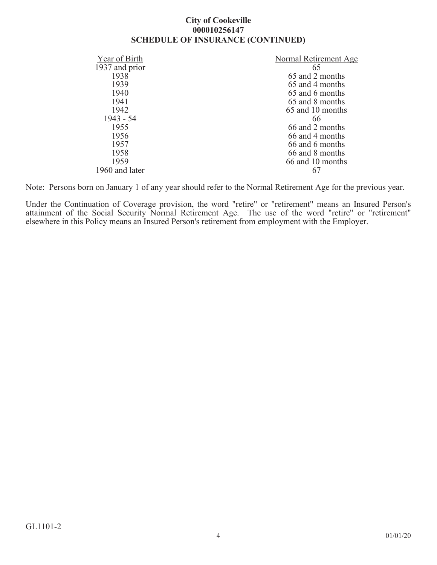## **City of Cookeville 000010256147 SCHEDULE OF INSURANCE (CONTINUED)**

| Year of Birth  | Normal Retirement Age |
|----------------|-----------------------|
| 1937 and prior | 65                    |
| 1938           | 65 and 2 months       |
| 1939           | 65 and 4 months       |
| 1940           | 65 and 6 months       |
| 1941           | 65 and 8 months       |
| 1942           | 65 and 10 months      |
| $1943 - 54$    | 66                    |
| 1955           | 66 and 2 months       |
| 1956           | 66 and 4 months       |
| 1957           | 66 and 6 months       |
| 1958           | 66 and 8 months       |
| 1959           | 66 and 10 months      |
| 1960 and later |                       |

Note: Persons born on January 1 of any year should refer to the Normal Retirement Age for the previous year.

Under the Continuation of Coverage provision, the word "retire" or "retirement" means an Insured Person's attainment of the Social Security Normal Retirement Age. The use of the word "retire" or "retirement" elsewhere in this Policy means an Insured Person's retirement from employment with the Employer.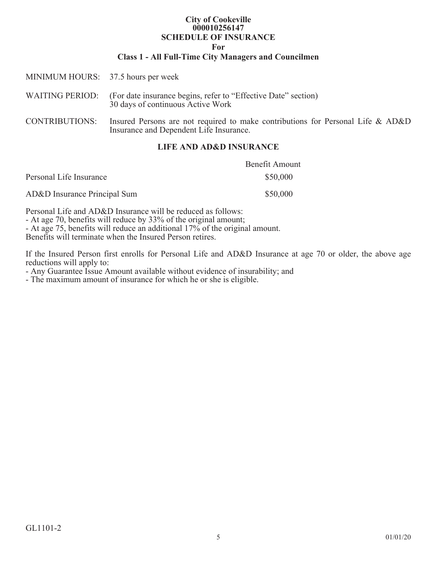#### **City of Cookeville 000010256147 SCHEDULE OF INSURANCE For**

# **Class 1 - All Full-Time City Managers and Councilmen**

| I IEE AND ADLD INCHDANCE           |                                                                                                                            |
|------------------------------------|----------------------------------------------------------------------------------------------------------------------------|
| <b>CONTRIBUTIONS:</b>              | Insured Persons are not required to make contributions for Personal Life & AD&D<br>Insurance and Dependent Life Insurance. |
| <b>WAITING PERIOD:</b>             | (For date insurance begins, refer to "Effective Date" section)<br>30 days of continuous Active Work                        |
| MINIMUM HOURS: 37.5 hours per week |                                                                                                                            |
|                                    |                                                                                                                            |

# **LIFE AND AD&D INSURANCE**

|                              | Benefit Amount |
|------------------------------|----------------|
| Personal Life Insurance      | \$50,000       |
| AD&D Insurance Principal Sum | \$50,000       |

Personal Life and AD&D Insurance will be reduced as follows:

- At age 70, benefits will reduce by 33% of the original amount;

- At age 75, benefits will reduce an additional 17% of the original amount.

Benefits will terminate when the Insured Person retires.

If the Insured Person first enrolls for Personal Life and AD&D Insurance at age 70 or older, the above age reductions will apply to:

- Any Guarantee Issue Amount available without evidence of insurability; and

- The maximum amount of insurance for which he or she is eligible.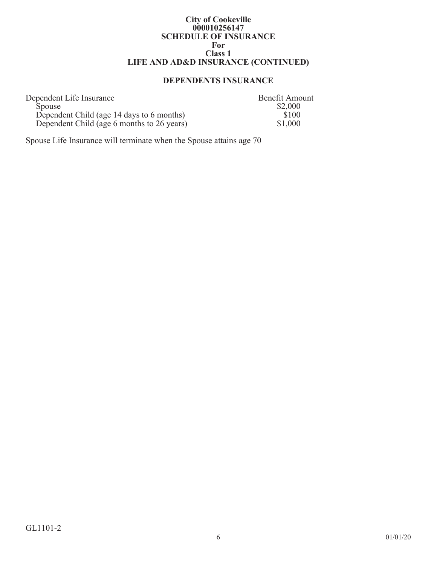#### **City of Cookeville 000010256147 SCHEDULE OF INSURANCE For Class 1 LIFE AND AD&D INSURANCE (CONTINUED)**

# **DEPENDENTS INSURANCE**

| Dependent Life Insurance                   | <b>Benefit Amount</b> |
|--------------------------------------------|-----------------------|
| <b>Spouse</b>                              | \$2,000               |
| Dependent Child (age 14 days to 6 months)  | \$100                 |
| Dependent Child (age 6 months to 26 years) | \$1,000               |

Spouse Life Insurance will terminate when the Spouse attains age 70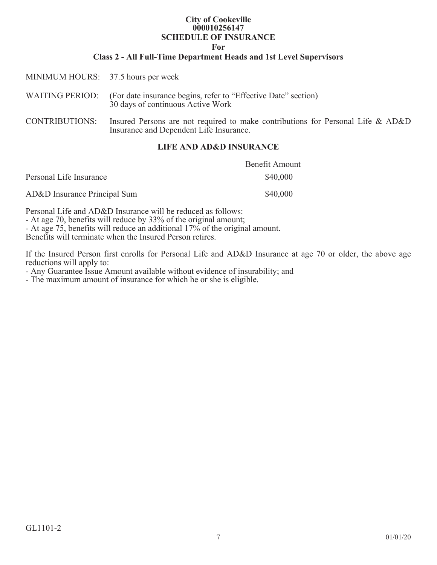## **City of Cookeville 000010256147 SCHEDULE OF INSURANCE**

**For**

### **Class 2 - All Full-Time Department Heads and 1st Level Supervisors**

| MINIMUM HOURS: 37.5 hours per week |                                                                                                                            |
|------------------------------------|----------------------------------------------------------------------------------------------------------------------------|
| <b>WAITING PERIOD:</b>             | (For date insurance begins, refer to "Effective Date" section)<br>30 days of continuous Active Work                        |
| <b>CONTRIBUTIONS:</b>              | Insured Persons are not required to make contributions for Personal Life & AD&D<br>Insurance and Dependent Life Insurance. |

## **LIFE AND AD&D INSURANCE**

|                              | <b>Benefit Amount</b> |
|------------------------------|-----------------------|
| Personal Life Insurance      | \$40,000              |
| AD&D Insurance Principal Sum | \$40,000              |

Personal Life and AD&D Insurance will be reduced as follows:

- At age 70, benefits will reduce by 33% of the original amount;

- At age 75, benefits will reduce an additional 17% of the original amount.

Benefits will terminate when the Insured Person retires.

If the Insured Person first enrolls for Personal Life and AD&D Insurance at age 70 or older, the above age reductions will apply to:

- Any Guarantee Issue Amount available without evidence of insurability; and

- The maximum amount of insurance for which he or she is eligible.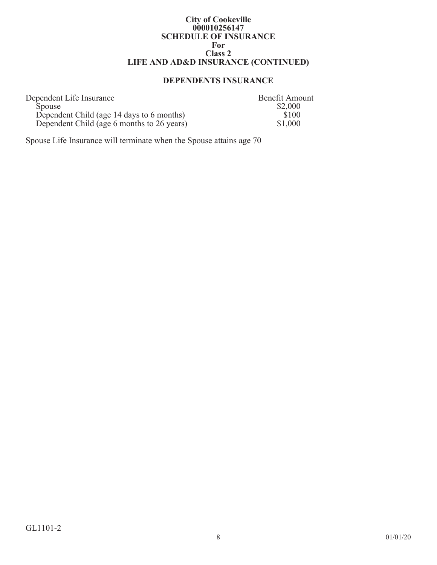#### **City of Cookeville 000010256147 SCHEDULE OF INSURANCE For Class 2 LIFE AND AD&D INSURANCE (CONTINUED)**

# **DEPENDENTS INSURANCE**

| Dependent Life Insurance                   | <b>Benefit Amount</b> |
|--------------------------------------------|-----------------------|
| <b>Spouse</b>                              | \$2,000               |
| Dependent Child (age 14 days to 6 months)  | \$100                 |
| Dependent Child (age 6 months to 26 years) | \$1,000               |

Spouse Life Insurance will terminate when the Spouse attains age 70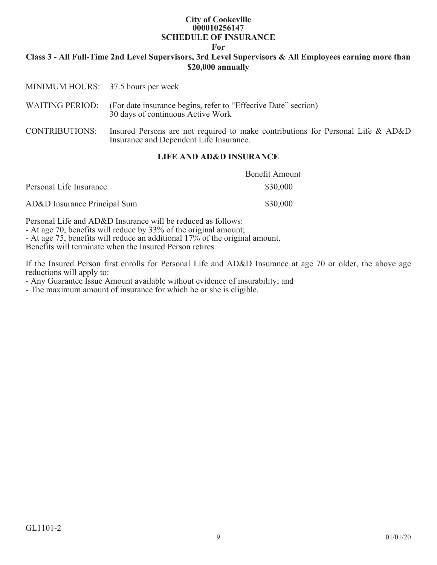#### **City of Cookeville 000010256147 SCHEDULE OF INSURANCE**

**For**

## **Class 3 - All Full-Time 2nd Level Supervisors, 3rd Level Supervisors & All Employees earning more than \$20,000 annually**

| <b>CONTRIBUTIONS:</b>  | Insured Persons are not required to make contributions for Personal Life & AD&D<br>Insurance and Dependent Life Insurance. |
|------------------------|----------------------------------------------------------------------------------------------------------------------------|
| <b>WAITING PERIOD:</b> | (For date insurance begins, refer to "Effective Date" section)<br>30 days of continuous Active Work                        |
|                        | MINIMUM HOURS: 37.5 hours per week                                                                                         |

### **LIFE AND AD&D INSURANCE**

|                              | <b>Benefit Amount</b> |
|------------------------------|-----------------------|
| Personal Life Insurance      | \$30,000              |
| AD&D Insurance Principal Sum | \$30,000              |

Personal Life and AD&D Insurance will be reduced as follows:

- At age 70, benefits will reduce by 33% of the original amount;

- At age 75, benefits will reduce an additional 17% of the original amount.

Benefits will terminate when the Insured Person retires.

If the Insured Person first enrolls for Personal Life and AD&D Insurance at age 70 or older, the above age reductions will apply to:

- Any Guarantee Issue Amount available without evidence of insurability; and

- The maximum amount of insurance for which he or she is eligible.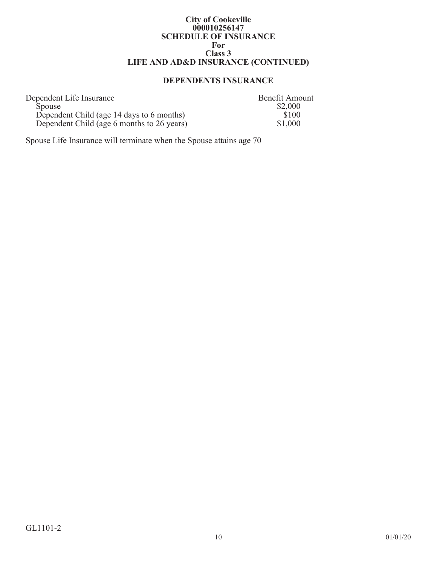#### **City of Cookeville 000010256147 SCHEDULE OF INSURANCE For Class 3 LIFE AND AD&D INSURANCE (CONTINUED)**

# **DEPENDENTS INSURANCE**

| Dependent Life Insurance                   | <b>Benefit Amount</b> |
|--------------------------------------------|-----------------------|
| <b>Spouse</b>                              | \$2,000               |
| Dependent Child (age 14 days to 6 months)  | \$100                 |
| Dependent Child (age 6 months to 26 years) | \$1,000               |

Spouse Life Insurance will terminate when the Spouse attains age 70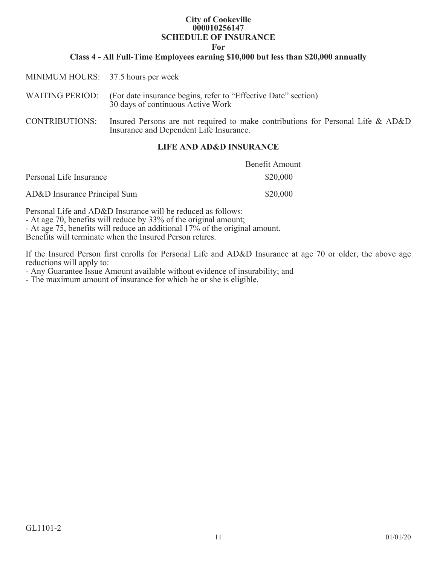## **City of Cookeville 000010256147 SCHEDULE OF INSURANCE**

**For**

### **Class 4 - All Full-Time Employees earning \$10,000 but less than \$20,000 annually**

| MINIMUM HOURS: 37.5 hours per week                                                                                         |
|----------------------------------------------------------------------------------------------------------------------------|
| WAITING PERIOD: (For date insurance begins, refer to "Effective Date" section)<br>30 days of continuous Active Work        |
| Insured Persons are not required to make contributions for Personal Life & AD&D<br>Insurance and Dependent Life Insurance. |
|                                                                                                                            |

### **LIFE AND AD&D INSURANCE**

|                              | <b>Benefit Amount</b> |
|------------------------------|-----------------------|
| Personal Life Insurance      | \$20,000              |
| AD&D Insurance Principal Sum | \$20,000              |

Personal Life and AD&D Insurance will be reduced as follows:

- At age 70, benefits will reduce by 33% of the original amount;

- At age 75, benefits will reduce an additional 17% of the original amount.

Benefits will terminate when the Insured Person retires.

If the Insured Person first enrolls for Personal Life and AD&D Insurance at age 70 or older, the above age reductions will apply to:

- Any Guarantee Issue Amount available without evidence of insurability; and

- The maximum amount of insurance for which he or she is eligible.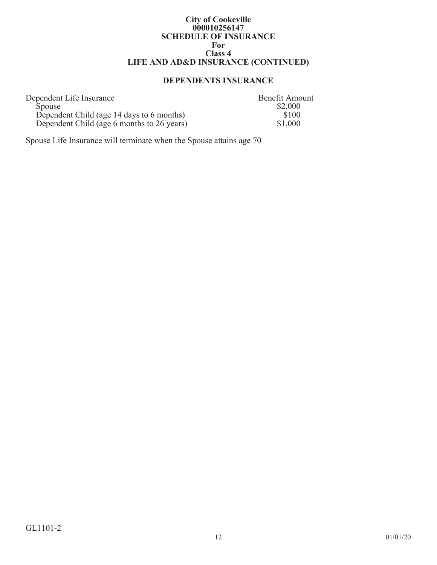#### **City of Cookeville 000010256147 SCHEDULE OF INSURANCE For Class 4 LIFE AND AD&D INSURANCE (CONTINUED)**

# **DEPENDENTS INSURANCE**

| Dependent Life Insurance                   | <b>Benefit Amount</b> |
|--------------------------------------------|-----------------------|
| <b>Spouse</b>                              | \$2,000               |
| Dependent Child (age 14 days to 6 months)  | \$100                 |
| Dependent Child (age 6 months to 26 years) | \$1,000               |

Spouse Life Insurance will terminate when the Spouse attains age 70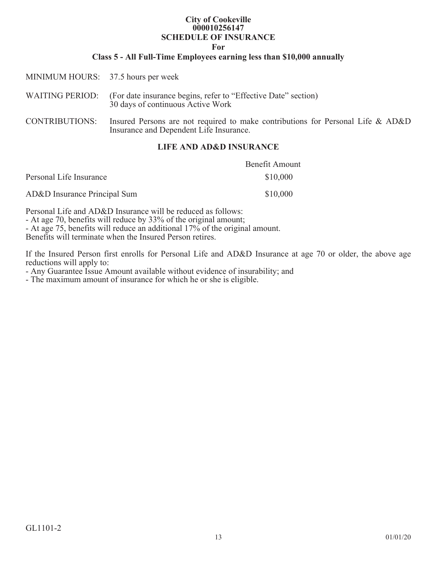## **City of Cookeville 000010256147 SCHEDULE OF INSURANCE**

**For**

### **Class 5 - All Full-Time Employees earning less than \$10,000 annually**

| MINIMUM HOURS: 37.5 hours per week |                                                                                                                            |
|------------------------------------|----------------------------------------------------------------------------------------------------------------------------|
|                                    | WAITING PERIOD: (For date insurance begins, refer to "Effective Date" section)<br>30 days of continuous Active Work        |
| <b>CONTRIBUTIONS:</b>              | Insured Persons are not required to make contributions for Personal Life & AD&D<br>Insurance and Dependent Life Insurance. |

# **LIFE AND AD&D INSURANCE**

|                              | Benefit Amount |
|------------------------------|----------------|
| Personal Life Insurance      | \$10,000       |
| AD&D Insurance Principal Sum | \$10,000       |

Personal Life and AD&D Insurance will be reduced as follows:

- At age 70, benefits will reduce by 33% of the original amount;

- At age 75, benefits will reduce an additional 17% of the original amount.

Benefits will terminate when the Insured Person retires.

If the Insured Person first enrolls for Personal Life and AD&D Insurance at age 70 or older, the above age reductions will apply to:

- Any Guarantee Issue Amount available without evidence of insurability; and

- The maximum amount of insurance for which he or she is eligible.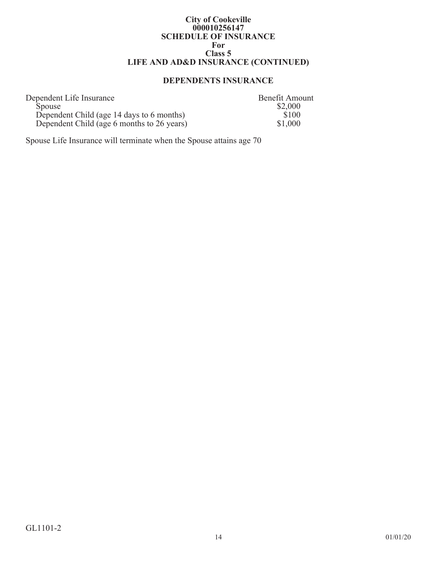#### **City of Cookeville 000010256147 SCHEDULE OF INSURANCE For Class 5 LIFE AND AD&D INSURANCE (CONTINUED)**

# **DEPENDENTS INSURANCE**

| Dependent Life Insurance                   | <b>Benefit Amount</b> |
|--------------------------------------------|-----------------------|
| <b>Spouse</b>                              | \$2,000               |
| Dependent Child (age 14 days to 6 months)  | \$100                 |
| Dependent Child (age 6 months to 26 years) | \$1,000               |

Spouse Life Insurance will terminate when the Spouse attains age 70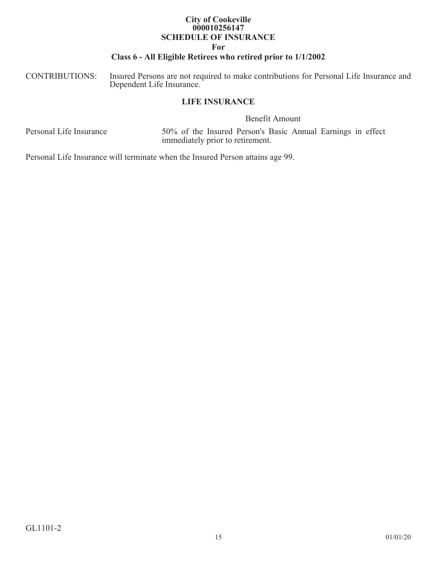# **City of Cookeville 000010256147 SCHEDULE OF INSURANCE**

#### **For**

# **Class 6 - All Eligible Retirees who retired prior to 1/1/2002**

CONTRIBUTIONS: Insured Persons are not required to make contributions for Personal Life Insurance and Dependent Life Insurance.

### **LIFE INSURANCE**

Benefit Amount

Personal Life Insurance 50% of the Insured Person's Basic Annual Earnings in effect immediately prior to retirement.

Personal Life Insurance will terminate when the Insured Person attains age 99.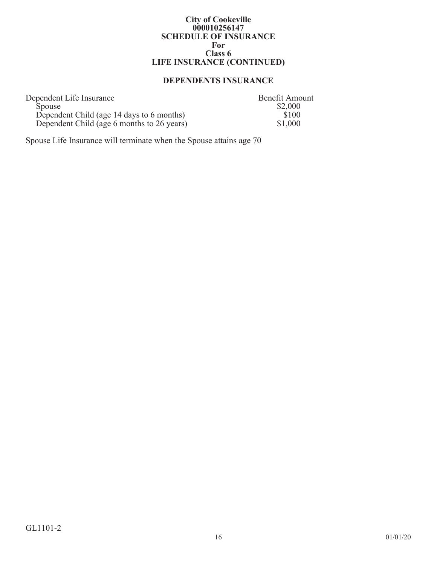#### **City of Cookeville 000010256147 SCHEDULE OF INSURANCE For Class 6 LIFE INSURANCE (CONTINUED)**

# **DEPENDENTS INSURANCE**

| Dependent Life Insurance                   | <b>Benefit Amount</b> |
|--------------------------------------------|-----------------------|
| <b>Spouse</b>                              | \$2,000               |
| Dependent Child (age 14 days to 6 months)  | \$100                 |
| Dependent Child (age 6 months to 26 years) | \$1,000               |

Spouse Life Insurance will terminate when the Spouse attains age 70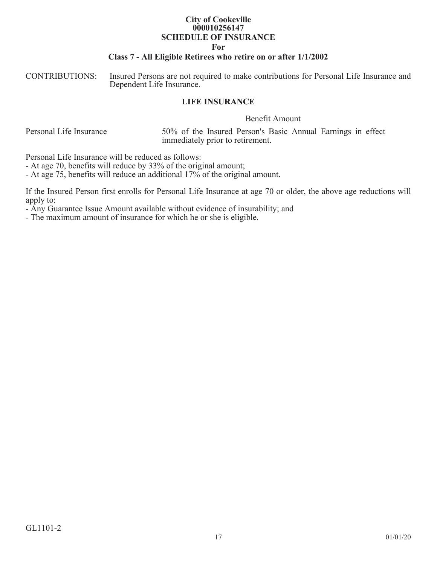## **City of Cookeville 000010256147 SCHEDULE OF INSURANCE**

#### **For**

### **Class 7 - All Eligible Retirees who retire on or after 1/1/2002**

CONTRIBUTIONS: Insured Persons are not required to make contributions for Personal Life Insurance and Dependent Life Insurance.

#### **LIFE INSURANCE**

Benefit Amount

Personal Life Insurance 50% of the Insured Person's Basic Annual Earnings in effect immediately prior to retirement.

Personal Life Insurance will be reduced as follows:

- At age 70, benefits will reduce by 33% of the original amount;

- At age 75, benefits will reduce an additional 17% of the original amount.

If the Insured Person first enrolls for Personal Life Insurance at age 70 or older, the above age reductions will apply to:

- Any Guarantee Issue Amount available without evidence of insurability; and

- The maximum amount of insurance for which he or she is eligible.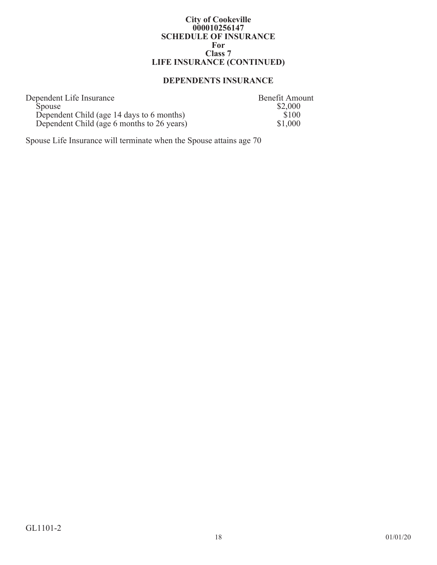#### **City of Cookeville 000010256147 SCHEDULE OF INSURANCE For Class 7 LIFE INSURANCE (CONTINUED)**

# **DEPENDENTS INSURANCE**

| Dependent Life Insurance                   | Benefit Amount |
|--------------------------------------------|----------------|
| <b>Spouse</b>                              | \$2,000        |
| Dependent Child (age 14 days to 6 months)  | \$100          |
| Dependent Child (age 6 months to 26 years) | \$1,000        |

Spouse Life Insurance will terminate when the Spouse attains age 70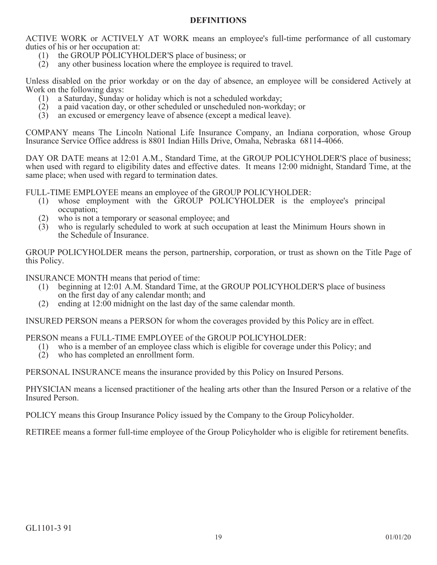## **DEFINITIONS**

ACTIVE WORK or ACTIVELY AT WORK means an employee's full-time performance of all customary duties of his or her occupation at:

- (1) the GROUP POLICYHOLDER'S place of business; or
- (2) any other business location where the employee is required to travel.

Unless disabled on the prior workday or on the day of absence, an employee will be considered Actively at Work on the following days:

- (1) a Saturday, Sunday or holiday which is not a scheduled workday;
- (2) a paid vacation day, or other scheduled or unscheduled non-workday; or
- (3) an excused or emergency leave of absence (except a medical leave).

COMPANY means The Lincoln National Life Insurance Company, an Indiana corporation, whose Group Insurance Service Office address is 8801 Indian Hills Drive, Omaha, Nebraska 68114-4066.

DAY OR DATE means at 12:01 A.M., Standard Time, at the GROUP POLICYHOLDER'S place of business; when used with regard to eligibility dates and effective dates. It means 12:00 midnight, Standard Time, at the same place; when used with regard to termination dates.

FULL-TIME EMPLOYEE means an employee of the GROUP POLICYHOLDER:<br>(1) whose employment with the GROUP POLICYHOLDER is the

- whose employment with the GROUP POLICYHOLDER is the employee's principal occupation;
- (2) who is not a temporary or seasonal employee; and
- (3) who is regularly scheduled to work at such occupation at least the Minimum Hours shown in the Schedule of Insurance.

GROUP POLICYHOLDER means the person, partnership, corporation, or trust as shown on the Title Page of this Policy.

INSURANCE MONTH means that period of time:

- (1) beginning at 12:01 A.M. Standard Time, at the GROUP POLICYHOLDER'S place of business on the first day of any calendar month; and
- (2) ending at 12:00 midnight on the last day of the same calendar month.

INSURED PERSON means a PERSON for whom the coverages provided by this Policy are in effect.

PERSON means a FULL-TIME EMPLOYEE of the GROUP POLICYHOLDER:

- (1) who is a member of an employee class which is eligible for coverage under this Policy; and
- (2) who has completed an enrollment form.

PERSONAL INSURANCE means the insurance provided by this Policy on Insured Persons.

PHYSICIAN means a licensed practitioner of the healing arts other than the Insured Person or a relative of the Insured Person.

POLICY means this Group Insurance Policy issued by the Company to the Group Policyholder.

RETIREE means a former full-time employee of the Group Policyholder who is eligible for retirement benefits.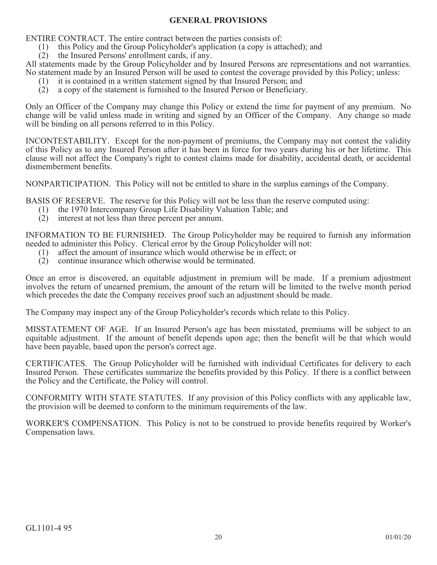## **GENERAL PROVISIONS**

ENTIRE CONTRACT. The entire contract between the parties consists of:

- (1) this Policy and the Group Policyholder's application (a copy is attached); and
- (2) the Insured Persons' enrollment cards, if any.

All statements made by the Group Policyholder and by Insured Persons are representations and not warranties. No statement made by an Insured Person will be used to contest the coverage provided by this Policy; unless:

- (1) it is contained in a written statement signed by that Insured Person; and
- (2) a copy of the statement is furnished to the Insured Person or Beneficiary.

Only an Officer of the Company may change this Policy or extend the time for payment of any premium. No change will be valid unless made in writing and signed by an Officer of the Company. Any change so made will be binding on all persons referred to in this Policy.

INCONTESTABILITY. Except for the non-payment of premiums, the Company may not contest the validity of this Policy as to any Insured Person after it has been in force for two years during his or her lifetime. This clause will not affect the Company's right to contest claims made for disability, accidental death, or accidental dismemberment benefits.

NONPARTICIPATION. This Policy will not be entitled to share in the surplus earnings of the Company.

BASIS OF RESERVE. The reserve for this Policy will not be less than the reserve computed using:

- (1) the 1970 Intercompany Group Life Disability Valuation Table; and
- (2) interest at not less than three percent per annum.

INFORMATION TO BE FURNISHED. The Group Policyholder may be required to furnish any information needed to administer this Policy. Clerical error by the Group Policyholder will not:

- (1) affect the amount of insurance which would otherwise be in effect; or
- (2) continue insurance which otherwise would be terminated.

Once an error is discovered, an equitable adjustment in premium will be made. If a premium adjustment involves the return of unearned premium, the amount of the return will be limited to the twelve month period which precedes the date the Company receives proof such an adjustment should be made.

The Company may inspect any of the Group Policyholder's records which relate to this Policy.

MISSTATEMENT OF AGE. If an Insured Person's age has been misstated, premiums will be subject to an equitable adjustment. If the amount of benefit depends upon age; then the benefit will be that which would have been payable, based upon the person's correct age.

CERTIFICATES. The Group Policyholder will be furnished with individual Certificates for delivery to each Insured Person. These certificates summarize the benefits provided by this Policy. If there is a conflict between the Policy and the Certificate, the Policy will control.

CONFORMITY WITH STATE STATUTES. If any provision of this Policy conflicts with any applicable law, the provision will be deemed to conform to the minimum requirements of the law.

WORKER'S COMPENSATION. This Policy is not to be construed to provide benefits required by Worker's Compensation laws.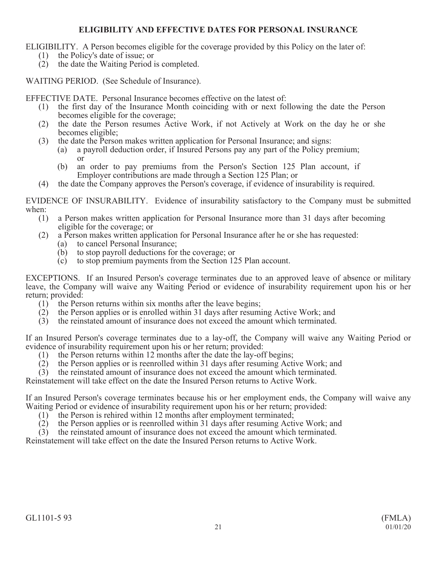# **ELIGIBILITY AND EFFECTIVE DATES FOR PERSONAL INSURANCE**

ELIGIBILITY. A Person becomes eligible for the coverage provided by this Policy on the later of:

- (1) the Policy's date of issue; or
- (2) the date the Waiting Period is completed.

WAITING PERIOD. (See Schedule of Insurance).

EFFECTIVE DATE. Personal Insurance becomes effective on the latest of:

- (1) the first day of the Insurance Month coinciding with or next following the date the Person becomes eligible for the coverage;
- (2) the date the Person resumes Active Work, if not Actively at Work on the day he or she becomes eligible;
- (3) the date the Person makes written application for Personal Insurance; and signs:
	- (a) a payroll deduction order, if Insured Persons pay any part of the Policy premium; or
	- (b) an order to pay premiums from the Person's Section 125 Plan account, if Employer contributions are made through a Section 125 Plan; or
- (4) the date the Company approves the Person's coverage, if evidence of insurability is required.

EVIDENCE OF INSURABILITY. Evidence of insurability satisfactory to the Company must be submitted when:

- (1) a Person makes written application for Personal Insurance more than 31 days after becoming eligible for the coverage; or
- (2) a Person makes written application for Personal Insurance after he or she has requested:
	- (a) to cancel Personal Insurance;
	- (b) to stop payroll deductions for the coverage; or
	- (c) to stop premium payments from the Section 125 Plan account.

EXCEPTIONS. If an Insured Person's coverage terminates due to an approved leave of absence or military leave, the Company will waive any Waiting Period or evidence of insurability requirement upon his or her return; provided:

- (1) the Person returns within six months after the leave begins;
- (2) the Person applies or is enrolled within 31 days after resuming Active Work; and
- (3) the reinstated amount of insurance does not exceed the amount which terminated.

If an Insured Person's coverage terminates due to a lay-off, the Company will waive any Waiting Period or evidence of insurability requirement upon his or her return; provided:

- (1) the Person returns within 12 months after the date the lay-off begins;
- (2) the Person applies or is reenrolled within 31 days after resuming Active Work; and (3) the reinstated amount of insurance does not exceed the amount which terminated.
- (3) the reinstated amount of insurance does not exceed the amount which terminated.

Reinstatement will take effect on the date the Insured Person returns to Active Work.

If an Insured Person's coverage terminates because his or her employment ends, the Company will waive any Waiting Period or evidence of insurability requirement upon his or her return; provided:

- (1) the Person is rehired within 12 months after employment terminated;
- (2) the Person applies or is reenrolled within 31 days after resuming Active Work; and

(3) the reinstated amount of insurance does not exceed the amount which terminated.

Reinstatement will take effect on the date the Insured Person returns to Active Work.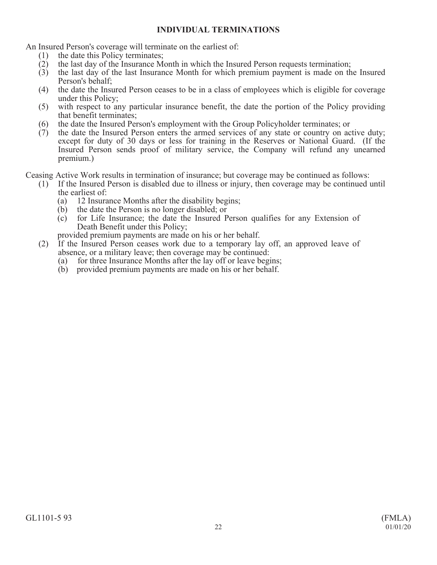## **INDIVIDUAL TERMINATIONS**

An Insured Person's coverage will terminate on the earliest of:

- (1) the date this Policy terminates;
- (2) the last day of the Insurance Month in which the Insured Person requests termination;
- (3) the last day of the last Insurance Month for which premium payment is made on the Insured Person's behalf;
- (4) the date the Insured Person ceases to be in a class of employees which is eligible for coverage under this Policy;
- (5) with respect to any particular insurance benefit, the date the portion of the Policy providing that benefit terminates;
- (6) the date the Insured Person's employment with the Group Policyholder terminates; or
- (7) the date the Insured Person enters the armed services of any state or country on active duty; except for duty of 30 days or less for training in the Reserves or National Guard. (If the Insured Person sends proof of military service, the Company will refund any unearned premium.)

Ceasing Active Work results in termination of insurance; but coverage may be continued as follows:

- (1) If the Insured Person is disabled due to illness or injury, then coverage may be continued until the earliest of:
	- (a) 12 Insurance Months after the disability begins;
	- (b) the date the Person is no longer disabled; or
	- (c) for Life Insurance; the date the Insured Person qualifies for any Extension of Death Benefit under this Policy;

provided premium payments are made on his or her behalf.

- (2) If the Insured Person ceases work due to a temporary lay off, an approved leave of absence, or a military leave; then coverage may be continued:
	- (a) for three Insurance Months after the lay off or leave begins;
	- (b) provided premium payments are made on his or her behalf.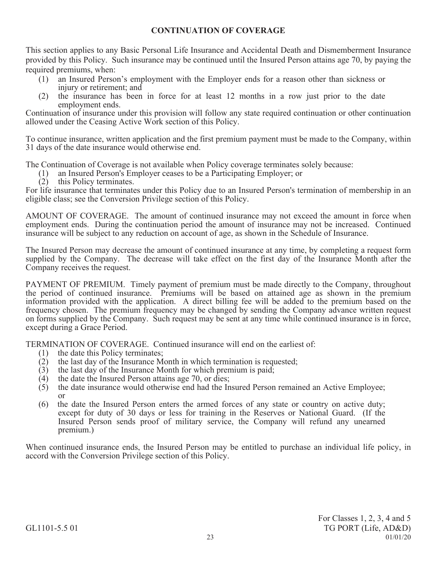# **CONTINUATION OF COVERAGE**

This section applies to any Basic Personal Life Insurance and Accidental Death and Dismemberment Insurance provided by this Policy. Such insurance may be continued until the Insured Person attains age 70, by paying the required premiums, when:

- (1) an Insured Person's employment with the Employer ends for a reason other than sickness or injury or retirement; and
- (2) the insurance has been in force for at least 12 months in a row just prior to the date employment ends.

Continuation of insurance under this provision will follow any state required continuation or other continuation allowed under the Ceasing Active Work section of this Policy.

To continue insurance, written application and the first premium payment must be made to the Company, within 31 days of the date insurance would otherwise end.

The Continuation of Coverage is not available when Policy coverage terminates solely because:

- (1) an Insured Person's Employer ceases to be a Participating Employer; or
- (2) this Policy terminates.

For life insurance that terminates under this Policy due to an Insured Person's termination of membership in an eligible class; see the Conversion Privilege section of this Policy.

AMOUNT OF COVERAGE. The amount of continued insurance may not exceed the amount in force when employment ends. During the continuation period the amount of insurance may not be increased. Continued insurance will be subject to any reduction on account of age, as shown in the Schedule of Insurance.

The Insured Person may decrease the amount of continued insurance at any time, by completing a request form supplied by the Company. The decrease will take effect on the first day of the Insurance Month after the Company receives the request.

PAYMENT OF PREMIUM. Timely payment of premium must be made directly to the Company, throughout the period of continued insurance. Premiums will be based on attained age as shown in the premium information provided with the application. A direct billing fee will be added to the premium based on the frequency chosen. The premium frequency may be changed by sending the Company advance written request on forms supplied by the Company. Such request may be sent at any time while continued insurance is in force, except during a Grace Period.

TERMINATION OF COVERAGE. Continued insurance will end on the earliest of:

- (1) the date this Policy terminates;
- $(2)$  the last day of the Insurance Month in which termination is requested;
- (3) the last day of the Insurance Month for which premium is paid;
- (4) the date the Insured Person attains age 70, or dies;
- (5) the date insurance would otherwise end had the Insured Person remained an Active Employee; or
- (6) the date the Insured Person enters the armed forces of any state or country on active duty; except for duty of 30 days or less for training in the Reserves or National Guard. (If the Insured Person sends proof of military service, the Company will refund any unearned premium.)

When continued insurance ends, the Insured Person may be entitled to purchase an individual life policy, in accord with the Conversion Privilege section of this Policy.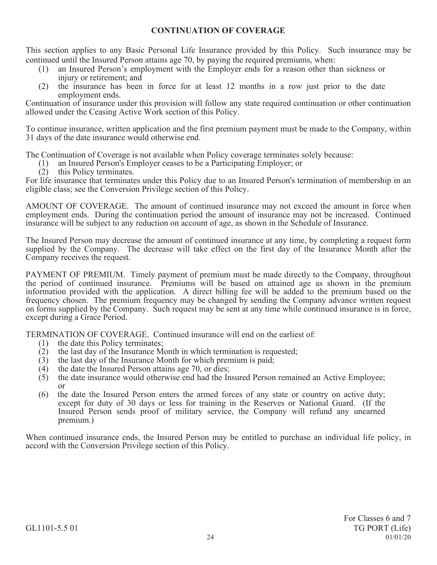## **CONTINUATION OF COVERAGE**

This section applies to any Basic Personal Life Insurance provided by this Policy. Such insurance may be continued until the Insured Person attains age 70, by paying the required premiums, when:

- (1) an Insured Person's employment with the Employer ends for a reason other than sickness or injury or retirement; and
- (2) the insurance has been in force for at least 12 months in a row just prior to the date employment ends.

Continuation of insurance under this provision will follow any state required continuation or other continuation allowed under the Ceasing Active Work section of this Policy.

To continue insurance, written application and the first premium payment must be made to the Company, within 31 days of the date insurance would otherwise end.

The Continuation of Coverage is not available when Policy coverage terminates solely because:

- (1) an Insured Person's Employer ceases to be a Participating Employer; or
- (2) this Policy terminates.

For life insurance that terminates under this Policy due to an Insured Person's termination of membership in an eligible class; see the Conversion Privilege section of this Policy.

AMOUNT OF COVERAGE. The amount of continued insurance may not exceed the amount in force when employment ends. During the continuation period the amount of insurance may not be increased. Continued insurance will be subject to any reduction on account of age, as shown in the Schedule of Insurance.

The Insured Person may decrease the amount of continued insurance at any time, by completing a request form supplied by the Company. The decrease will take effect on the first day of the Insurance Month after the Company receives the request.

PAYMENT OF PREMIUM. Timely payment of premium must be made directly to the Company, throughout the period of continued insurance. Premiums will be based on attained age as shown in the premium information provided with the application. A direct billing fee will be added to the premium based on the frequency chosen. The premium frequency may be changed by sending the Company advance written request on forms supplied by the Company. Such request may be sent at any time while continued insurance is in force, except during a Grace Period.

TERMINATION OF COVERAGE. Continued insurance will end on the earliest of:

- (1) the date this Policy terminates;<br>(2) the last day of the Insurance M
- (2) the last day of the Insurance Month in which termination is requested;<br>(3) the last day of the Insurance Month for which premium is paid;
- (3) the last day of the Insurance Month for which premium is paid;<br>(4) the date the Insured Person attains age 70, or dies:
- (4) the date the Insured Person attains age 70, or dies;<br>(5) the date insurance would otherwise end had the In
- the date insurance would otherwise end had the Insured Person remained an Active Employee; or
- (6) the date the Insured Person enters the armed forces of any state or country on active duty; except for duty of 30 days or less for training in the Reserves or National Guard. (If the Insured Person sends proof of military service, the Company will refund any unearned premium.)

When continued insurance ends, the Insured Person may be entitled to purchase an individual life policy, in accord with the Conversion Privilege section of this Policy.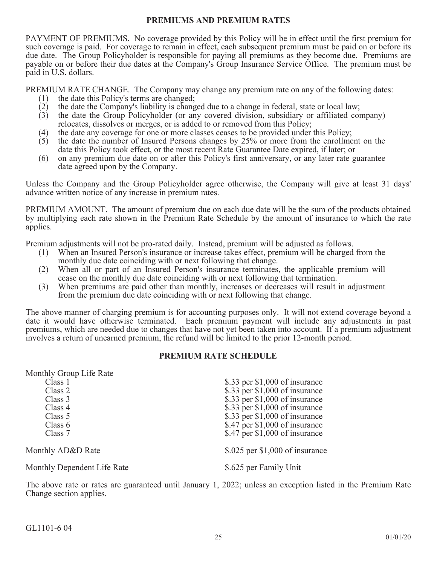### **PREMIUMS AND PREMIUM RATES**

PAYMENT OF PREMIUMS. No coverage provided by this Policy will be in effect until the first premium for such coverage is paid. For coverage to remain in effect, each subsequent premium must be paid on or before its due date. The Group Policyholder is responsible for paying all premiums as they become due. Premiums are payable on or before their due dates at the Company's Group Insurance Service Office. The premium must be paid in U.S. dollars.

PREMIUM RATE CHANGE. The Company may change any premium rate on any of the following dates:

- (1) the date this Policy's terms are changed;
- (2) the date the Company's liability is changed due to a change in federal, state or local law;<br>(3) the date the Group Policyholder (or any covered division, subsidiary or affiliated cor
- (3) the date the Group Policyholder (or any covered division, subsidiary or affiliated company) relocates, dissolves or merges, or is added to or removed from this Policy;
- (4) the date any coverage for one or more classes ceases to be provided under this Policy;
- (5) the date the number of Insured Persons changes by 25% or more from the enrollment on the date this Policy took effect, or the most recent Rate Guarantee Date expired, if later; or
- (6) on any premium due date on or after this Policy's first anniversary, or any later rate guarantee date agreed upon by the Company.

Unless the Company and the Group Policyholder agree otherwise, the Company will give at least 31 days' advance written notice of any increase in premium rates.

PREMIUM AMOUNT. The amount of premium due on each due date will be the sum of the products obtained by multiplying each rate shown in the Premium Rate Schedule by the amount of insurance to which the rate applies.

Premium adjustments will not be pro-rated daily. Instead, premium will be adjusted as follows.

- (1) When an Insured Person's insurance or increase takes effect, premium will be charged from the monthly due date coinciding with or next following that change.
- (2) When all or part of an Insured Person's insurance terminates, the applicable premium will cease on the monthly due date coinciding with or next following that termination.
- (3) When premiums are paid other than monthly, increases or decreases will result in adjustment from the premium due date coinciding with or next following that change.

The above manner of charging premium is for accounting purposes only. It will not extend coverage beyond a date it would have otherwise terminated. Each premium payment will include any adjustments in past premiums, which are needed due to changes that have not yet been taken into account. If a premium adjustment involves a return of unearned premium, the refund will be limited to the prior 12-month period.

### **PREMIUM RATE SCHEDULE**

### Monthly Group Life Rate

| Class 1                     | \$.33 per $$1,000$ of insurance  |
|-----------------------------|----------------------------------|
| Class 2                     | \$.33 per $$1,000$ of insurance  |
| Class 3                     | \$.33 per $$1,000$ of insurance  |
| Class 4                     | \$.33 per $$1,000$ of insurance  |
| Class 5                     | \$.33 per $$1,000$ of insurance  |
| Class $6$                   | \$.47 per $$1,000$ of insurance  |
| Class 7                     | \$.47 per $$1,000$ of insurance  |
| Monthly AD&D Rate           | $$.025$ per \$1,000 of insurance |
| Monthly Dependent Life Rate | \$.625 per Family Unit           |

The above rate or rates are guaranteed until January 1, 2022; unless an exception listed in the Premium Rate Change section applies.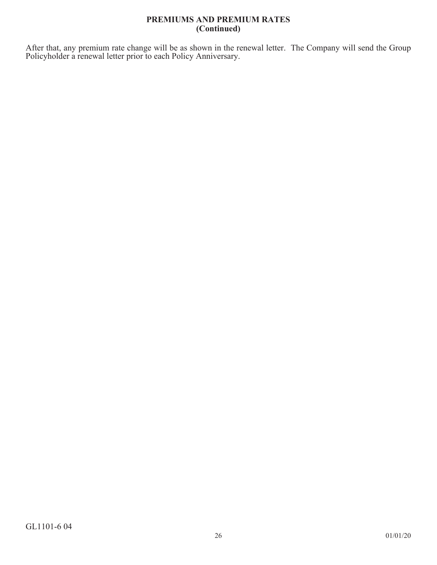## **PREMIUMS AND PREMIUM RATES (Continued)**

After that, any premium rate change will be as shown in the renewal letter. The Company will send the Group Policyholder a renewal letter prior to each Policy Anniversary.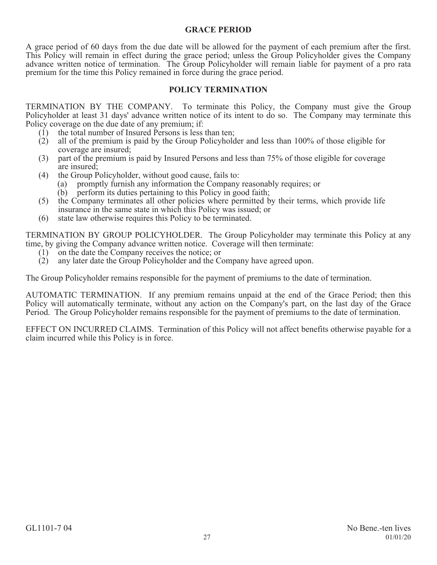## **GRACE PERIOD**

A grace period of 60 days from the due date will be allowed for the payment of each premium after the first. This Policy will remain in effect during the grace period; unless the Group Policyholder gives the Company advance written notice of termination. The Group Policyholder will remain liable for payment of a pro rata premium for the time this Policy remained in force during the grace period.

## **POLICY TERMINATION**

TERMINATION BY THE COMPANY. To terminate this Policy, the Company must give the Group Policyholder at least 31 days' advance written notice of its intent to do so. The Company may terminate this Policy coverage on the due date of any premium; if:

- (1) the total number of Insured Persons is less than ten;
- (2) all of the premium is paid by the Group Policyholder and less than 100% of those eligible for coverage are insured;
- (3) part of the premium is paid by Insured Persons and less than 75% of those eligible for coverage are insured;
- (4) the Group Policyholder, without good cause, fails to:
	- (a) promptly furnish any information the Company reasonably requires; or
	- (b) perform its duties pertaining to this Policy in good faith;
- (5) the Company terminates all other policies where permitted by their terms, which provide life insurance in the same state in which this Policy was issued; or
- (6) state law otherwise requires this Policy to be terminated.

TERMINATION BY GROUP POLICYHOLDER. The Group Policyholder may terminate this Policy at any time, by giving the Company advance written notice. Coverage will then terminate:

- (1) on the date the Company receives the notice; or
- (2) any later date the Group Policyholder and the Company have agreed upon.

The Group Policyholder remains responsible for the payment of premiums to the date of termination.

AUTOMATIC TERMINATION. If any premium remains unpaid at the end of the Grace Period; then this Policy will automatically terminate, without any action on the Company's part, on the last day of the Grace Period. The Group Policyholder remains responsible for the payment of premiums to the date of termination.

EFFECT ON INCURRED CLAIMS. Termination of this Policy will not affect benefits otherwise payable for a claim incurred while this Policy is in force.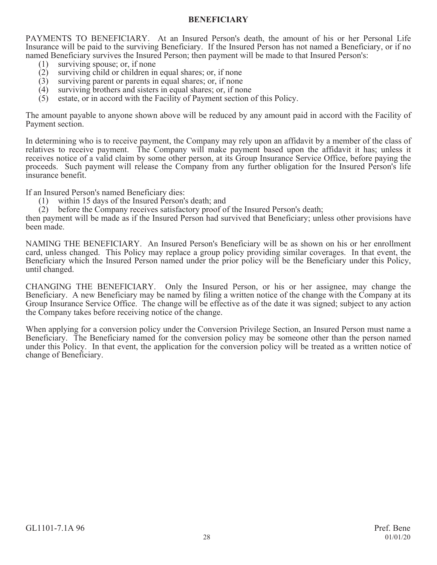## **BENEFICIARY**

PAYMENTS TO BENEFICIARY. At an Insured Person's death, the amount of his or her Personal Life Insurance will be paid to the surviving Beneficiary. If the Insured Person has not named a Beneficiary, or if no named Beneficiary survives the Insured Person; then payment will be made to that Insured Person's:

- (1) surviving spouse; or, if none<br>(2) surviving child or children in
- surviving child or children in equal shares; or, if none
- (3) surviving parent or parents in equal shares; or, if none (4) surviving brothers and sisters in equal shares; or, if no
- (4) surviving brothers and sisters in equal shares; or, if none (5) estate, or in accord with the Facility of Payment section of
- estate, or in accord with the Facility of Payment section of this Policy.

The amount payable to anyone shown above will be reduced by any amount paid in accord with the Facility of Payment section.

In determining who is to receive payment, the Company may rely upon an affidavit by a member of the class of relatives to receive payment. The Company will make payment based upon the affidavit it has; unless it receives notice of a valid claim by some other person, at its Group Insurance Service Office, before paying the proceeds. Such payment will release the Company from any further obligation for the Insured Person's life insurance benefit.

If an Insured Person's named Beneficiary dies:

- (1) within 15 days of the Insured Person's death; and
- (2) before the Company receives satisfactory proof of the Insured Person's death;

then payment will be made as if the Insured Person had survived that Beneficiary; unless other provisions have been made.

NAMING THE BENEFICIARY. An Insured Person's Beneficiary will be as shown on his or her enrollment card, unless changed. This Policy may replace a group policy providing similar coverages. In that event, the Beneficiary which the Insured Person named under the prior policy will be the Beneficiary under this Policy, until changed.

CHANGING THE BENEFICIARY. Only the Insured Person, or his or her assignee, may change the Beneficiary. A new Beneficiary may be named by filing a written notice of the change with the Company at its Group Insurance Service Office. The change will be effective as of the date it was signed; subject to any action the Company takes before receiving notice of the change.

When applying for a conversion policy under the Conversion Privilege Section, an Insured Person must name a Beneficiary. The Beneficiary named for the conversion policy may be someone other than the person named under this Policy. In that event, the application for the conversion policy will be treated as a written notice of change of Beneficiary.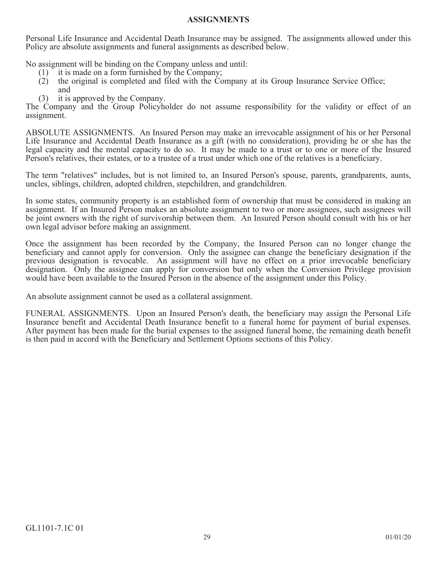### **ASSIGNMENTS**

Personal Life Insurance and Accidental Death Insurance may be assigned. The assignments allowed under this Policy are absolute assignments and funeral assignments as described below.

No assignment will be binding on the Company unless and until:

- (1) it is made on a form furnished by the Company;
- (2) the original is completed and filed with the Company at its Group Insurance Service Office; and
- (3) it is approved by the Company.

The Company and the Group Policyholder do not assume responsibility for the validity or effect of an assignment.

ABSOLUTE ASSIGNMENTS. An Insured Person may make an irrevocable assignment of his or her Personal Life Insurance and Accidental Death Insurance as a gift (with no consideration), providing he or she has the legal capacity and the mental capacity to do so. It may be made to a trust or to one or more of the Insured Person's relatives, their estates, or to a trustee of a trust under which one of the relatives is a beneficiary.

The term "relatives" includes, but is not limited to, an Insured Person's spouse, parents, grandparents, aunts, uncles, siblings, children, adopted children, stepchildren, and grandchildren.

In some states, community property is an established form of ownership that must be considered in making an assignment. If an Insured Person makes an absolute assignment to two or more assignees, such assignees will be joint owners with the right of survivorship between them. An Insured Person should consult with his or her own legal advisor before making an assignment.

Once the assignment has been recorded by the Company, the Insured Person can no longer change the beneficiary and cannot apply for conversion. Only the assignee can change the beneficiary designation if the previous designation is revocable. An assignment will have no effect on a prior irrevocable beneficiary designation. Only the assignee can apply for conversion but only when the Conversion Privilege provision would have been available to the Insured Person in the absence of the assignment under this Policy.

An absolute assignment cannot be used as a collateral assignment.

FUNERAL ASSIGNMENTS. Upon an Insured Person's death, the beneficiary may assign the Personal Life Insurance benefit and Accidental Death Insurance benefit to a funeral home for payment of burial expenses. After payment has been made for the burial expenses to the assigned funeral home, the remaining death benefit is then paid in accord with the Beneficiary and Settlement Options sections of this Policy.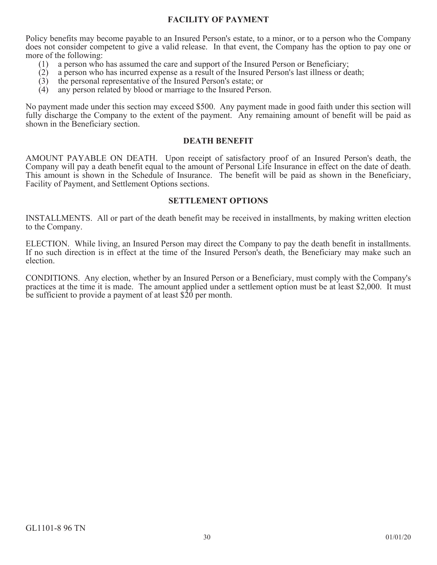## **FACILITY OF PAYMENT**

Policy benefits may become payable to an Insured Person's estate, to a minor, or to a person who the Company does not consider competent to give a valid release. In that event, the Company has the option to pay one or more of the following:

- (1) a person who has assumed the care and support of the Insured Person or Beneficiary;<br>(2) a person who has incurred expense as a result of the Insured Person's last illness or de
- (2) a person who has incurred expense as a result of the Insured Person's last illness or death;
- (3) the personal representative of the Insured Person's estate; or (4) any person related by blood or marriage to the Insured Perso
- any person related by blood or marriage to the Insured Person.

No payment made under this section may exceed \$500. Any payment made in good faith under this section will fully discharge the Company to the extent of the payment. Any remaining amount of benefit will be paid as shown in the Beneficiary section.

### **DEATH BENEFIT**

AMOUNT PAYABLE ON DEATH. Upon receipt of satisfactory proof of an Insured Person's death, the Company will pay a death benefit equal to the amount of Personal Life Insurance in effect on the date of death. This amount is shown in the Schedule of Insurance. The benefit will be paid as shown in the Beneficiary, Facility of Payment, and Settlement Options sections.

### **SETTLEMENT OPTIONS**

INSTALLMENTS. All or part of the death benefit may be received in installments, by making written election to the Company.

ELECTION. While living, an Insured Person may direct the Company to pay the death benefit in installments. If no such direction is in effect at the time of the Insured Person's death, the Beneficiary may make such an election.

CONDITIONS. Any election, whether by an Insured Person or a Beneficiary, must comply with the Company's practices at the time it is made. The amount applied under a settlement option must be at least \$2,000. It must be sufficient to provide a payment of at least \$20 per month.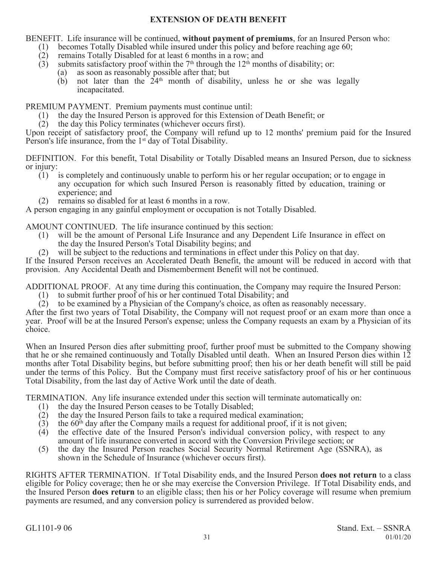## **EXTENSION OF DEATH BENEFIT**

BENEFIT. Life insurance will be continued, **without payment of premiums**, for an Insured Person who:

- (1) becomes Totally Disabled while insured under this policy and before reaching age 60;<br>(2) remains Totally Disabled for at least 6 months in a row; and
- remains Totally Disabled for at least 6 months in a row; and
- (3) submits satisfactory proof within the  $7<sup>th</sup>$  through the 12<sup>th</sup> months of disability; or:
	- (a) as soon as reasonably possible after that; but
	- $(b)$  not later than the  $24<sup>th</sup>$  month of disability, unless he or she was legally incapacitated.

PREMIUM PAYMENT. Premium payments must continue until:

- (1) the day the Insured Person is approved for this Extension of Death Benefit; or
- (2) the day this Policy terminates (whichever occurs first).

Upon receipt of satisfactory proof, the Company will refund up to 12 months' premium paid for the Insured Person's life insurance, from the 1<sup>st</sup> day of Total Disability.

DEFINITION. For this benefit, Total Disability or Totally Disabled means an Insured Person, due to sickness or injury:

- (1) is completely and continuously unable to perform his or her regular occupation; or to engage in any occupation for which such Insured Person is reasonably fitted by education, training or experience; and
- (2) remains so disabled for at least 6 months in a row.

A person engaging in any gainful employment or occupation is not Totally Disabled.

AMOUNT CONTINUED. The life insurance continued by this section:<br>(1) will be the amount of Personal Life Insurance and any Depen

- will be the amount of Personal Life Insurance and any Dependent Life Insurance in effect on the day the Insured Person's Total Disability begins; and
- (2) will be subject to the reductions and terminations in effect under this Policy on that day.

If the Insured Person receives an Accelerated Death Benefit, the amount will be reduced in accord with that provision. Any Accidental Death and Dismemberment Benefit will not be continued.

ADDITIONAL PROOF. At any time during this continuation, the Company may require the Insured Person:

- (1) to submit further proof of his or her continued Total Disability; and
- (2) to be examined by a Physician of the Company's choice, as often as reasonably necessary.

After the first two years of Total Disability, the Company will not request proof or an exam more than once a year. Proof will be at the Insured Person's expense; unless the Company requests an exam by a Physician of its choice.

When an Insured Person dies after submitting proof, further proof must be submitted to the Company showing that he or she remained continuously and Totally Disabled until death. When an Insured Person dies within 12 months after Total Disability begins, but before submitting proof; then his or her death benefit will still be paid under the terms of this Policy. But the Company must first receive satisfactory proof of his or her continuous Total Disability, from the last day of Active Work until the date of death.

TERMINATION. Any life insurance extended under this section will terminate automatically on:

- (1) the day the Insured Person ceases to be Totally Disabled;
- (2) the day the Insured Person fails to take a required medical examination;
- (3) the 60<sup>th</sup> day after the Company mails a request for additional proof, if it is not given;<br>(4) the effective date of the Insured Person's individual conversion policy, with resp
- (4) the effective date of the Insured Person's individual conversion policy, with respect to any amount of life insurance converted in accord with the Conversion Privilege section; or
- (5) the day the Insured Person reaches Social Security Normal Retirement Age (SSNRA), as shown in the Schedule of Insurance (whichever occurs first).

RIGHTS AFTER TERMINATION. If Total Disability ends, and the Insured Person **does not return** to a class eligible for Policy coverage; then he or she may exercise the Conversion Privilege. If Total Disability ends, and the Insured Person **does return** to an eligible class; then his or her Policy coverage will resume when premium payments are resumed, and any conversion policy is surrendered as provided below.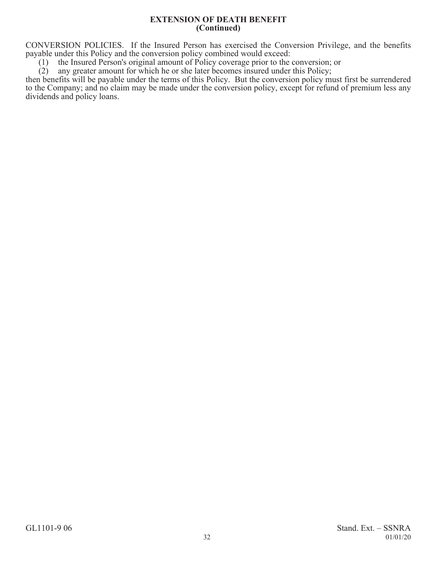#### **EXTENSION OF DEATH BENEFIT (Continued)**

CONVERSION POLICIES. If the Insured Person has exercised the Conversion Privilege, and the benefits payable under this Policy and the conversion policy combined would exceed:

(1) the Insured Person's original amount of Policy coverage prior to the conversion; or (2) any greater amount for which he or she later becomes insured under this Policy;

any greater amount for which he or she later becomes insured under this Policy;

then benefits will be payable under the terms of this Policy. But the conversion policy must first be surrendered to the Company; and no claim may be made under the conversion policy, except for refund of premium less any dividends and policy loans.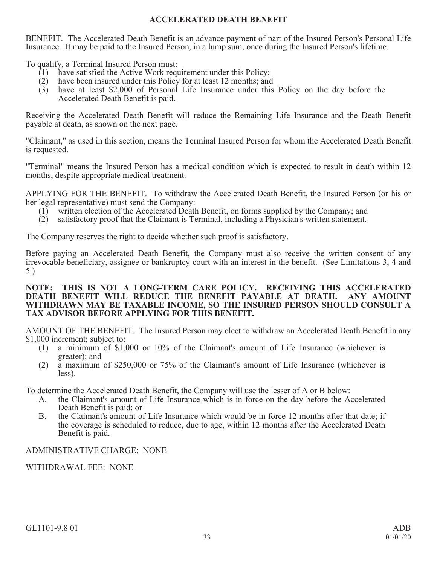# **ACCELERATED DEATH BENEFIT**

BENEFIT. The Accelerated Death Benefit is an advance payment of part of the Insured Person's Personal Life Insurance. It may be paid to the Insured Person, in a lump sum, once during the Insured Person's lifetime.

To qualify, a Terminal Insured Person must:

- (1) have satisfied the Active Work requirement under this Policy;
- (2) have been insured under this Policy for at least 12 months; and
- (3) have at least \$2,000 of Personal Life Insurance under this Policy on the day before the Accelerated Death Benefit is paid.

Receiving the Accelerated Death Benefit will reduce the Remaining Life Insurance and the Death Benefit payable at death, as shown on the next page.

"Claimant," as used in this section, means the Terminal Insured Person for whom the Accelerated Death Benefit is requested.

"Terminal" means the Insured Person has a medical condition which is expected to result in death within 12 months, despite appropriate medical treatment.

APPLYING FOR THE BENEFIT. To withdraw the Accelerated Death Benefit, the Insured Person (or his or her legal representative) must send the Company:

- (1) written election of the Accelerated Death Benefit, on forms supplied by the Company; and
- (2) satisfactory proof that the Claimant is Terminal, including a Physician's written statement.

The Company reserves the right to decide whether such proof is satisfactory.

Before paying an Accelerated Death Benefit, the Company must also receive the written consent of any irrevocable beneficiary, assignee or bankruptcy court with an interest in the benefit. (See Limitations 3, 4 and 5.)

### **NOTE: THIS IS NOT A LONG-TERM CARE POLICY. RECEIVING THIS ACCELERATED DEATH BENEFIT WILL REDUCE THE BENEFIT PAYABLE AT DEATH. ANY AMOUNT WITHDRAWN MAY BE TAXABLE INCOME, SO THE INSURED PERSON SHOULD CONSULT A TAX ADVISOR BEFORE APPLYING FOR THIS BENEFIT.**

AMOUNT OF THE BENEFIT. The Insured Person may elect to withdraw an Accelerated Death Benefit in any \$1,000 increment; subject to:

- (1) a minimum of \$1,000 or 10% of the Claimant's amount of Life Insurance (whichever is greater); and
- (2) a maximum of \$250,000 or 75% of the Claimant's amount of Life Insurance (whichever is less).

To determine the Accelerated Death Benefit, the Company will use the lesser of A or B below:

- A. the Claimant's amount of Life Insurance which is in force on the day before the Accelerated Death Benefit is paid; or
- B. the Claimant's amount of Life Insurance which would be in force 12 months after that date; if the coverage is scheduled to reduce, due to age, within 12 months after the Accelerated Death Benefit is paid.

# ADMINISTRATIVE CHARGE: NONE

WITHDRAWAL FEE: NONE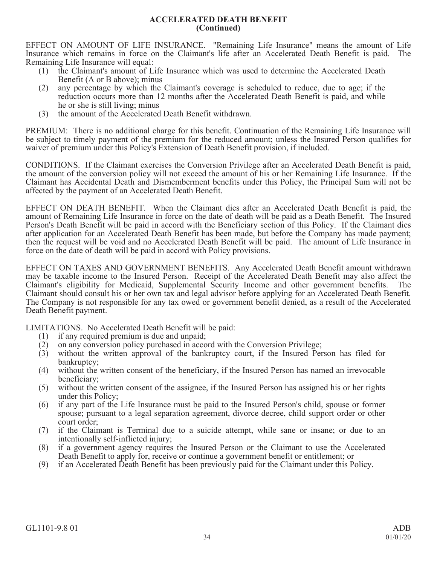### **ACCELERATED DEATH BENEFIT (Continued)**

EFFECT ON AMOUNT OF LIFE INSURANCE. "Remaining Life Insurance" means the amount of Life Insurance which remains in force on the Claimant's life after an Accelerated Death Benefit is paid. The Remaining Life Insurance will equal:

- (1) the Claimant's amount of Life Insurance which was used to determine the Accelerated Death Benefit (A or B above); minus
- (2) any percentage by which the Claimant's coverage is scheduled to reduce, due to age; if the reduction occurs more than 12 months after the Accelerated Death Benefit is paid, and while he or she is still living; minus
- (3) the amount of the Accelerated Death Benefit withdrawn.

PREMIUM: There is no additional charge for this benefit. Continuation of the Remaining Life Insurance will be subject to timely payment of the premium for the reduced amount; unless the Insured Person qualifies for waiver of premium under this Policy's Extension of Death Benefit provision, if included.

CONDITIONS. If the Claimant exercises the Conversion Privilege after an Accelerated Death Benefit is paid, the amount of the conversion policy will not exceed the amount of his or her Remaining Life Insurance. If the Claimant has Accidental Death and Dismemberment benefits under this Policy, the Principal Sum will not be affected by the payment of an Accelerated Death Benefit.

EFFECT ON DEATH BENEFIT. When the Claimant dies after an Accelerated Death Benefit is paid, the amount of Remaining Life Insurance in force on the date of death will be paid as a Death Benefit. The Insured Person's Death Benefit will be paid in accord with the Beneficiary section of this Policy. If the Claimant dies after application for an Accelerated Death Benefit has been made, but before the Company has made payment; then the request will be void and no Accelerated Death Benefit will be paid. The amount of Life Insurance in force on the date of death will be paid in accord with Policy provisions.

EFFECT ON TAXES AND GOVERNMENT BENEFITS. Any Accelerated Death Benefit amount withdrawn may be taxable income to the Insured Person. Receipt of the Accelerated Death Benefit may also affect the Claimant's eligibility for Medicaid, Supplemental Security Income and other government benefits. The Claimant should consult his or her own tax and legal advisor before applying for an Accelerated Death Benefit. The Company is not responsible for any tax owed or government benefit denied, as a result of the Accelerated Death Benefit payment.

LIMITATIONS. No Accelerated Death Benefit will be paid:

- (1) if any required premium is due and unpaid;<br>(2) on any conversion policy purchased in acco
- on any conversion policy purchased in accord with the Conversion Privilege;
- (3) without the written approval of the bankruptcy court, if the Insured Person has filed for bankruptcy;
- (4) without the written consent of the beneficiary, if the Insured Person has named an irrevocable beneficiary;
- (5) without the written consent of the assignee, if the Insured Person has assigned his or her rights under this Policy;
- (6) if any part of the Life Insurance must be paid to the Insured Person's child, spouse or former spouse; pursuant to a legal separation agreement, divorce decree, child support order or other court order;
- (7) if the Claimant is Terminal due to a suicide attempt, while sane or insane; or due to an intentionally self-inflicted injury;
- (8) if a government agency requires the Insured Person or the Claimant to use the Accelerated Death Benefit to apply for, receive or continue a government benefit or entitlement; or
- (9) if an Accelerated Death Benefit has been previously paid for the Claimant under this Policy.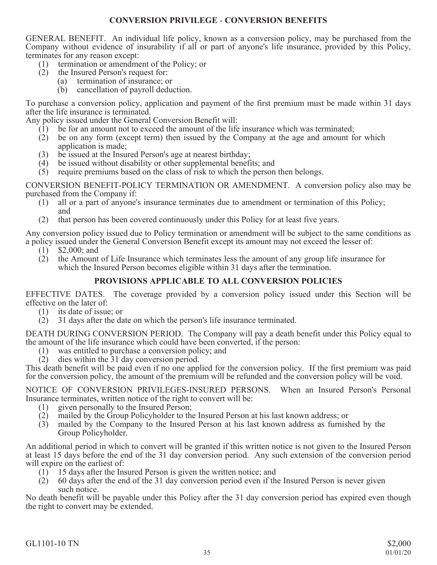## **CONVERSION PRIVILEGE** - **CONVERSION BENEFITS**

GENERAL BENEFIT. An individual life policy, known as a conversion policy, may be purchased from the Company without evidence of insurability if all or part of anyone's life insurance, provided by this Policy, terminates for any reason except:

- (1) termination or amendment of the Policy; or
- (2) the Insured Person's request for:
	- (a) termination of insurance; or
	- (b) cancellation of payroll deduction.

To purchase a conversion policy, application and payment of the first premium must be made within 31 days after the life insurance is terminated.

Any policy issued under the General Conversion Benefit will:

- $(1)$  be for an amount not to exceed the amount of the life insurance which was terminated;
- (2) be on any form (except term) then issued by the Company at the age and amount for which application is made;
- (3) be issued at the Insured Person's age at nearest birthday;
- (4) be issued without disability or other supplemental benefits; and
- (5) require premiums based on the class of risk to which the person then belongs.

CONVERSION BENEFIT-POLICY TERMINATION OR AMENDMENT. A conversion policy also may be purchased from the Company if:

- (1) all or a part of anyone's insurance terminates due to amendment or termination of this Policy; and
- (2) that person has been covered continuously under this Policy for at least five years.

Any conversion policy issued due to Policy termination or amendment will be subject to the same conditions as a policy issued under the General Conversion Benefit except its amount may not exceed the lesser of:

- (1) \$2,000; and
- (2) the Amount of Life Insurance which terminates less the amount of any group life insurance for which the Insured Person becomes eligible within 31 days after the termination.

# **PROVISIONS APPLICABLE TO ALL CONVERSION POLICIES**

EFFECTIVE DATES. The coverage provided by a conversion policy issued under this Section will be effective on the later of:

- (1) its date of issue; or
- (2) 31 days after the date on which the person's life insurance terminated.

DEATH DURING CONVERSION PERIOD. The Company will pay a death benefit under this Policy equal to the amount of the life insurance which could have been converted, if the person:<br>(1) was entitled to purchase a conversion policy: and

- was entitled to purchase a conversion policy; and
- (2) dies within the 31 day conversion period.

This death benefit will be paid even if no one applied for the conversion policy. If the first premium was paid for the conversion policy, the amount of the premium will be refunded and the conversion policy will be void.

NOTICE OF CONVERSION PRIVILEGES-INSURED PERSONS. When an Insured Person's Personal Insurance terminates, written notice of the right to convert will be:

- (1) given personally to the Insured Person;
- (2) mailed by the Group Policyholder to the Insured Person at his last known address; or
- (3) mailed by the Company to the Insured Person at his last known address as furnished by the Group Policyholder.

An additional period in which to convert will be granted if this written notice is not given to the Insured Person at least 15 days before the end of the 31 day conversion period. Any such extension of the conversion period will expire on the earliest of:

- (1) 15 days after the Insured Person is given the written notice; and
- (2) 60 days after the end of the 31 day conversion period even if the Insured Person is never given such notice.

No death benefit will be payable under this Policy after the 31 day conversion period has expired even though the right to convert may be extended.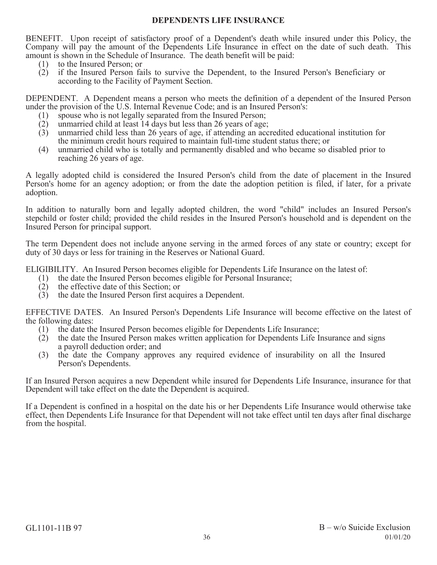## **DEPENDENTS LIFE INSURANCE**

BENEFIT. Upon receipt of satisfactory proof of a Dependent's death while insured under this Policy, the Company will pay the amount of the Dependents Life Insurance in effect on the date of such death. This amount is shown in the Schedule of Insurance. The death benefit will be paid:

- (1) to the Insured Person; or
- (2) if the Insured Person fails to survive the Dependent, to the Insured Person's Beneficiary or according to the Facility of Payment Section.

DEPENDENT. A Dependent means a person who meets the definition of a dependent of the Insured Person under the provision of the U.S. Internal Revenue Code; and is an Insured Person's:

- (1) spouse who is not legally separated from the Insured Person;
- (2) unmarried child at least 14 days but less than 26 years of age;
- (3) unmarried child less than 26 years of age, if attending an accredited educational institution for the minimum credit hours required to maintain full-time student status there; or
- (4) unmarried child who is totally and permanently disabled and who became so disabled prior to reaching 26 years of age.

A legally adopted child is considered the Insured Person's child from the date of placement in the Insured Person's home for an agency adoption; or from the date the adoption petition is filed, if later, for a private adoption.

In addition to naturally born and legally adopted children, the word "child" includes an Insured Person's stepchild or foster child; provided the child resides in the Insured Person's household and is dependent on the Insured Person for principal support.

The term Dependent does not include anyone serving in the armed forces of any state or country; except for duty of 30 days or less for training in the Reserves or National Guard.

ELIGIBILITY. An Insured Person becomes eligible for Dependents Life Insurance on the latest of:

- (1) the date the Insured Person becomes eligible for Personal Insurance;
- (2) the effective date of this Section; or
- (3) the date the Insured Person first acquires a Dependent.

EFFECTIVE DATES. An Insured Person's Dependents Life Insurance will become effective on the latest of the following dates:

- (1) the date the Insured Person becomes eligible for Dependents Life Insurance;
- (2) the date the Insured Person makes written application for Dependents Life Insurance and signs a payroll deduction order; and
- (3) the date the Company approves any required evidence of insurability on all the Insured Person's Dependents.

If an Insured Person acquires a new Dependent while insured for Dependents Life Insurance, insurance for that Dependent will take effect on the date the Dependent is acquired.

If a Dependent is confined in a hospital on the date his or her Dependents Life Insurance would otherwise take effect, then Dependents Life Insurance for that Dependent will not take effect until ten days after final discharge from the hospital.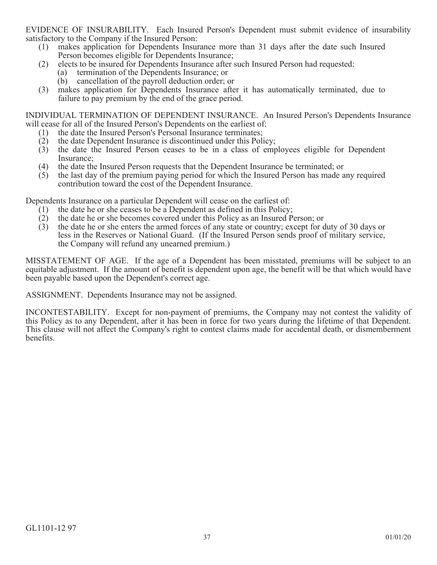EVIDENCE OF INSURABILITY. Each Insured Person's Dependent must submit evidence of insurability satisfactory to the Company if the Insured Person:

- (1) makes application for Dependents Insurance more than 31 days after the date such Insured Person becomes eligible for Dependents Insurance;
- (2) elects to be insured for Dependents Insurance after such Insured Person had requested:
	- (a) termination of the Dependents Insurance; or
	- (b) cancellation of the payroll deduction order; or
- (3) makes application for Dependents Insurance after it has automatically terminated, due to failure to pay premium by the end of the grace period.

INDIVIDUAL TERMINATION OF DEPENDENT INSURANCE. An Insured Person's Dependents Insurance will cease for all of the Insured Person's Dependents on the earliest of:

- (1) the date the Insured Person's Personal Insurance terminates;
- (2) the date Dependent Insurance is discontinued under this Policy;<br>(3) the date the Insured Person ceases to be in a class of emp
- (3) the date the Insured Person ceases to be in a class of employees eligible for Dependent Insurance;
- (4) the date the Insured Person requests that the Dependent Insurance be terminated; or
- (5) the last day of the premium paying period for which the Insured Person has made any required contribution toward the cost of the Dependent Insurance.

Dependents Insurance on a particular Dependent will cease on the earliest of:

- (1) the date he or she ceases to be a Dependent as defined in this Policy;
- (2) the date he or she becomes covered under this Policy as an Insured Person; or (3) the date he or she enters the armed forces of any state or country; except for d
- (3) the date he or she enters the armed forces of any state or country; except for duty of 30 days or less in the Reserves or National Guard. (If the Insured Person sends proof of military service, the Company will refund any unearned premium.)

MISSTATEMENT OF AGE. If the age of a Dependent has been misstated, premiums will be subject to an equitable adjustment. If the amount of benefit is dependent upon age, the benefit will be that which would have been payable based upon the Dependent's correct age.

ASSIGNMENT. Dependents Insurance may not be assigned.

INCONTESTABILITY. Except for non-payment of premiums, the Company may not contest the validity of this Policy as to any Dependent, after it has been in force for two years during the lifetime of that Dependent. This clause will not affect the Company's right to contest claims made for accidental death, or dismemberment benefits.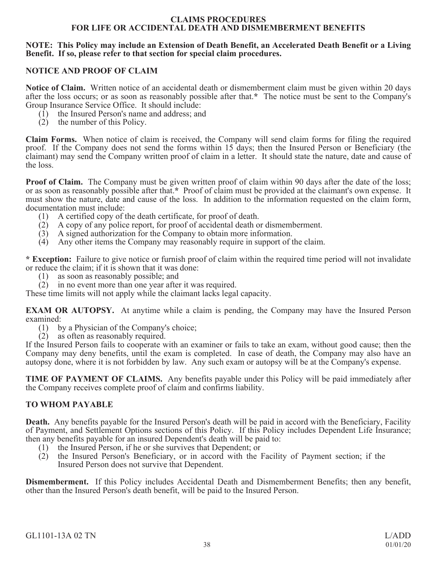### **CLAIMS PROCEDURES FOR LIFE OR ACCIDENTAL DEATH AND DISMEMBERMENT BENEFITS**

### **NOTE: This Policy may include an Extension of Death Benefit, an Accelerated Death Benefit or a Living Benefit. If so, please refer to that section for special claim procedures.**

## **NOTICE AND PROOF OF CLAIM**

**Notice of Claim.** Written notice of an accidental death or dismemberment claim must be given within 20 days after the loss occurs; or as soon as reasonably possible after that.**\*** The notice must be sent to the Company's Group Insurance Service Office. It should include:

- (1) the Insured Person's name and address; and
- (2) the number of this Policy.

**Claim Forms.** When notice of claim is received, the Company will send claim forms for filing the required proof. If the Company does not send the forms within 15 days; then the Insured Person or Beneficiary (the claimant) may send the Company written proof of claim in a letter. It should state the nature, date and cause of the loss.

**Proof of Claim.** The Company must be given written proof of claim within 90 days after the date of the loss; or as soon as reasonably possible after that.**\*** Proof of claim must be provided at the claimant's own expense. It must show the nature, date and cause of the loss. In addition to the information requested on the claim form, documentation must include:

- (1) A certified copy of the death certificate, for proof of death.
- (2) A copy of any police report, for proof of accidental death or dismemberment.
- $(3)$  A signed authorization for the Company to obtain more information.
- (4) Any other items the Company may reasonably require in support of the claim.

**\* Exception:** Failure to give notice or furnish proof of claim within the required time period will not invalidate or reduce the claim; if it is shown that it was done:

- (1) as soon as reasonably possible; and
- (2) in no event more than one year after it was required.

These time limits will not apply while the claimant lacks legal capacity.

**EXAM OR AUTOPSY.** At anytime while a claim is pending, the Company may have the Insured Person examined:

- (1) by a Physician of the Company's choice;
- (2) as often as reasonably required.

If the Insured Person fails to cooperate with an examiner or fails to take an exam, without good cause; then the Company may deny benefits, until the exam is completed. In case of death, the Company may also have an autopsy done, where it is not forbidden by law. Any such exam or autopsy will be at the Company's expense.

**TIME OF PAYMENT OF CLAIMS.** Any benefits payable under this Policy will be paid immediately after the Company receives complete proof of claim and confirms liability.

### **TO WHOM PAYABLE**

**Death.** Any benefits payable for the Insured Person's death will be paid in accord with the Beneficiary, Facility of Payment, and Settlement Options sections of this Policy. If this Policy includes Dependent Life Insurance; then any benefits payable for an insured Dependent's death will be paid to:

- (1) the Insured Person, if he or she survives that Dependent; or
- (2) the Insured Person's Beneficiary, or in accord with the Facility of Payment section; if the Insured Person does not survive that Dependent.

**Dismemberment.** If this Policy includes Accidental Death and Dismemberment Benefits; then any benefit, other than the Insured Person's death benefit, will be paid to the Insured Person.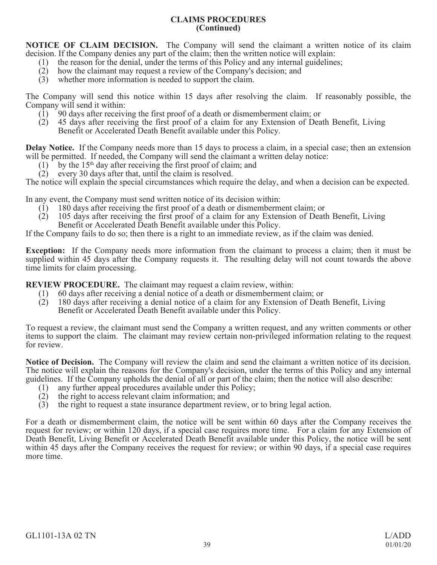## **CLAIMS PROCEDURES (Continued)**

**NOTICE OF CLAIM DECISION.** The Company will send the claimant a written notice of its claim decision. If the Company denies any part of the claim; then the written notice will explain:

- (1) the reason for the denial, under the terms of this Policy and any internal guidelines;<br>(2) how the claimant may request a review of the Company's decision; and
- how the claimant may request a review of the Company's decision; and
- (3) whether more information is needed to support the claim.

The Company will send this notice within 15 days after resolving the claim. If reasonably possible, the Company will send it within:

- (1) 90 days after receiving the first proof of a death or dismemberment claim; or
- (2) 45 days after receiving the first proof of a claim for any Extension of Death Benefit, Living Benefit or Accelerated Death Benefit available under this Policy.

**Delay Notice.** If the Company needs more than 15 days to process a claim, in a special case; then an extension will be permitted. If needed, the Company will send the claimant a written delay notice:

- $(1)$  by the 15<sup>th</sup> day after receiving the first proof of claim; and
- (2) every 30 days after that, until the claim is resolved.

The notice will explain the special circumstances which require the delay, and when a decision can be expected.

In any event, the Company must send written notice of its decision within:

- (1) 180 days after receiving the first proof of a death or dismemberment claim; or
- (2) 105 days after receiving the first proof of a claim for any Extension of Death Benefit, Living Benefit or Accelerated Death Benefit available under this Policy.

If the Company fails to do so; then there is a right to an immediate review, as if the claim was denied.

**Exception:** If the Company needs more information from the claimant to process a claim; then it must be supplied within 45 days after the Company requests it. The resulting delay will not count towards the above time limits for claim processing.

**REVIEW PROCEDURE.** The claimant may request a claim review, within:

- (1) 60 days after receiving a denial notice of a death or dismemberment claim; or
- (2) 180 days after receiving a denial notice of a claim for any Extension of Death Benefit, Living Benefit or Accelerated Death Benefit available under this Policy.

To request a review, the claimant must send the Company a written request, and any written comments or other items to support the claim. The claimant may review certain non-privileged information relating to the request for review.

**Notice of Decision.** The Company will review the claim and send the claimant a written notice of its decision. The notice will explain the reasons for the Company's decision, under the terms of this Policy and any internal guidelines. If the Company upholds the denial of all or part of the claim; then the notice will also describe:

- (1) any further appeal procedures available under this Policy;
- (2) the right to access relevant claim information; and
- (3) the right to request a state insurance department review, or to bring legal action.

For a death or dismemberment claim, the notice will be sent within 60 days after the Company receives the request for review; or within 120 days, if a special case requires more time. For a claim for any Extension of Death Benefit, Living Benefit or Accelerated Death Benefit available under this Policy, the notice will be sent within 45 days after the Company receives the request for review; or within 90 days, if a special case requires more time.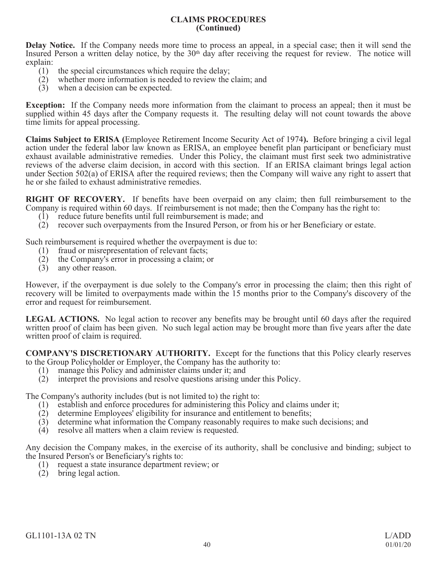### **CLAIMS PROCEDURES (Continued)**

**Delay Notice.** If the Company needs more time to process an appeal, in a special case; then it will send the Insured Person a written delay notice, by the 30<sup>th</sup> day after receiving the request for review. The notice will explain:

- (1) the special circumstances which require the delay;
- (2) whether more information is needed to review the claim; and
- (3) when a decision can be expected.

**Exception:** If the Company needs more information from the claimant to process an appeal; then it must be supplied within 45 days after the Company requests it. The resulting delay will not count towards the above time limits for appeal processing.

**Claims Subject to ERISA (**Employee Retirement Income Security Act of 1974**).** Before bringing a civil legal action under the federal labor law known as ERISA, an employee benefit plan participant or beneficiary must exhaust available administrative remedies. Under this Policy, the claimant must first seek two administrative reviews of the adverse claim decision, in accord with this section. If an ERISA claimant brings legal action under Section 502(a) of ERISA after the required reviews; then the Company will waive any right to assert that he or she failed to exhaust administrative remedies.

**RIGHT OF RECOVERY.** If benefits have been overpaid on any claim; then full reimbursement to the Company is required within 60 days. If reimbursement is not made; then the Company has the right to:

- (1) reduce future benefits until full reimbursement is made; and
- (2) recover such overpayments from the Insured Person, or from his or her Beneficiary or estate.

Such reimbursement is required whether the overpayment is due to:

- (1) fraud or misrepresentation of relevant facts;<br>(2) the Company's error in processing a claim;
- the Company's error in processing a claim; or
- (3) any other reason.

However, if the overpayment is due solely to the Company's error in processing the claim; then this right of recovery will be limited to overpayments made within the 15 months prior to the Company's discovery of the error and request for reimbursement.

**LEGAL ACTIONS.** No legal action to recover any benefits may be brought until 60 days after the required written proof of claim has been given. No such legal action may be brought more than five years after the date written proof of claim is required.

**COMPANY'S DISCRETIONARY AUTHORITY.** Except for the functions that this Policy clearly reserves to the Group Policyholder or Employer, the Company has the authority to:

- (1) manage this Policy and administer claims under it; and
- (2) interpret the provisions and resolve questions arising under this Policy.

The Company's authority includes (but is not limited to) the right to:

- (1) establish and enforce procedures for administering this Policy and claims under it;
- (2) determine Employees' eligibility for insurance and entitlement to benefits;
- (3) determine what information the Company reasonably requires to make such decisions; and
- (4) resolve all matters when a claim review is requested.

Any decision the Company makes, in the exercise of its authority, shall be conclusive and binding; subject to the Insured Person's or Beneficiary's rights to:

- (1) request a state insurance department review; or
- (2) bring legal action.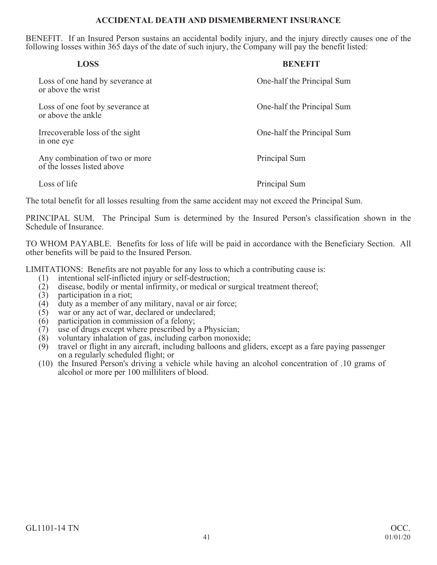## **ACCIDENTAL DEATH AND DISMEMBERMENT INSURANCE**

BENEFIT. If an Insured Person sustains an accidental bodily injury, and the injury directly causes one of the following losses within 365 days of the date of such injury, the Company will pay the benefit listed:

| <b>LOSS</b>                                                  | <b>BENEFIT</b>             |
|--------------------------------------------------------------|----------------------------|
| Loss of one hand by severance at<br>or above the wrist       | One-half the Principal Sum |
| Loss of one foot by severance at<br>or above the ankle       | One-half the Principal Sum |
| Irrecoverable loss of the sight<br>in one eve                | One-half the Principal Sum |
| Any combination of two or more<br>of the losses listed above | Principal Sum              |
| Loss of life                                                 | Principal Sum              |

The total benefit for all losses resulting from the same accident may not exceed the Principal Sum.

PRINCIPAL SUM. The Principal Sum is determined by the Insured Person's classification shown in the Schedule of Insurance.

TO WHOM PAYABLE. Benefits for loss of life will be paid in accordance with the Beneficiary Section. All other benefits will be paid to the Insured Person.

LIMITATIONS: Benefits are not payable for any loss to which a contributing cause is:

- (1) intentional self-inflicted injury or self-destruction;
- (2) disease, bodily or mental infirmity, or medical or surgical treatment thereof;
- (3) participation in a riot;
- (4) duty as a member of any military, naval or air force;
- $(5)$  war or any act of war, declared or undeclared;
- (6) participation in commission of a felony;
- (7) use of drugs except where prescribed by a Physician;<br>(8) voluntary inhalation of gas, including carbon monoxi
- voluntary inhalation of gas, including carbon monoxide;
- (9) travel or flight in any aircraft, including balloons and gliders, except as a fare paying passenger on a regularly scheduled flight; or
- (10) the Insured Person's driving a vehicle while having an alcohol concentration of .10 grams of alcohol or more per 100 milliliters of blood.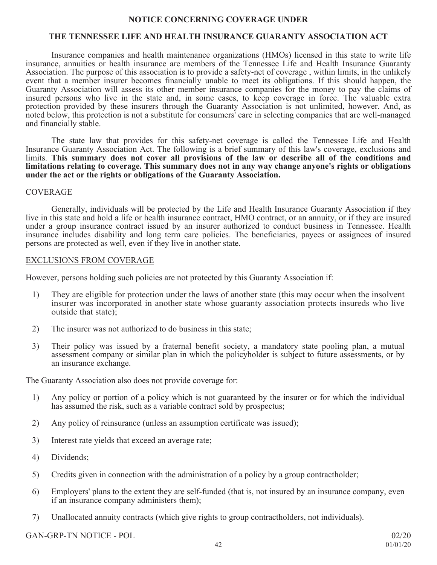### **NOTICE CONCERNING COVERAGE UNDER**

# **THE TENNESSEE LIFE AND HEALTH INSURANCE GUARANTY ASSOCIATION ACT**

Insurance companies and health maintenance organizations (HMOs) licensed in this state to write life insurance, annuities or health insurance are members of the Tennessee Life and Health Insurance Guaranty Association. The purpose of this association is to provide a safety-net of coverage , within limits, in the unlikely event that a member insurer becomes financially unable to meet its obligations. If this should happen, the Guaranty Association will assess its other member insurance companies for the money to pay the claims of insured persons who live in the state and, in some cases, to keep coverage in force. The valuable extra protection provided by these insurers through the Guaranty Association is not unlimited, however. And, as noted below, this protection is not a substitute for consumers' care in selecting companies that are well-managed and financially stable.

The state law that provides for this safety-net coverage is called the Tennessee Life and Health Insurance Guaranty Association Act. The following is a brief summary of this law's coverage, exclusions and limits. **This summary does not cover all provisions of the law or describe all of the conditions and limitations relating to coverage. This summary does not in any way change anyone's rights or obligations under the act or the rights or obligations of the Guaranty Association.**

#### COVERAGE

Generally, individuals will be protected by the Life and Health Insurance Guaranty Association if they live in this state and hold a life or health insurance contract, HMO contract, or an annuity, or if they are insured under a group insurance contract issued by an insurer authorized to conduct business in Tennessee. Health insurance includes disability and long term care policies. The beneficiaries, payees or assignees of insured persons are protected as well, even if they live in another state.

#### EXCLUSIONS FROM COVERAGE

However, persons holding such policies are not protected by this Guaranty Association if:

- 1) They are eligible for protection under the laws of another state (this may occur when the insolvent insurer was incorporated in another state whose guaranty association protects insureds who live outside that state);
- 2) The insurer was not authorized to do business in this state;
- 3) Their policy was issued by a fraternal benefit society, a mandatory state pooling plan, a mutual assessment company or similar plan in which the policyholder is subject to future assessments, or by an insurance exchange.

The Guaranty Association also does not provide coverage for:

- 1) Any policy or portion of a policy which is not guaranteed by the insurer or for which the individual has assumed the risk, such as a variable contract sold by prospectus;
- 2) Any policy of reinsurance (unless an assumption certificate was issued);
- 3) Interest rate yields that exceed an average rate;
- 4) Dividends;
- 5) Credits given in connection with the administration of a policy by a group contractholder;
- 6) Employers' plans to the extent they are self-funded (that is, not insured by an insurance company, even if an insurance company administers them);
- 7) Unallocated annuity contracts (which give rights to group contractholders, not individuals).

GAN-GRP-TN NOTICE - POL 02/20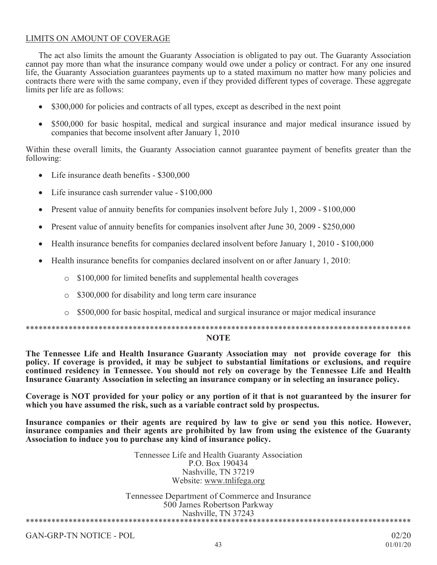## LIMITS ON AMOUNT OF COVERAGE

The act also limits the amount the Guaranty Association is obligated to pay out. The Guaranty Association cannot pay more than what the insurance company would owe under a policy or contract. For any one insured life, the Guaranty Association guarantees payments up to a stated maximum no matter how many policies and contracts there were with the same company, even if they provided different types of coverage. These aggregate limits per life are as follows:

- x \$300,000 for policies and contracts of all types, except as described in the next point
- x \$500,000 for basic hospital, medical and surgical insurance and major medical insurance issued by companies that become insolvent after January 1, 2010

Within these overall limits, the Guaranty Association cannot guarantee payment of benefits greater than the following:

- Life insurance death benefits \$300,000
- Life insurance cash surrender value \$100,000
- Present value of annuity benefits for companies insolvent before July 1, 2009  $$100,000$
- Present value of annuity benefits for companies insolvent after June 30, 2009 \$250,000
- Health insurance benefits for companies declared insolvent before January 1, 2010 \$100,000
- x Health insurance benefits for companies declared insolvent on or after January 1, 2010:
	- o \$100,000 for limited benefits and supplemental health coverages
	- o \$300,000 for disability and long term care insurance
	- o \$500,000 for basic hospital, medical and surgical insurance or major medical insurance

\*\*\*\*\*\*\*\*\*\*\*\*\*\*\*\*\*\*\*\*\*\*\*\*\*\*\*\*\*\*\*\*\*\*\*\*\*\*\*\*\*\*\*\*\*\*\*\*\*\*\*\*\*\*\*\*\*\*\*\*\*\*\*\*\*\*\*\*\*\*\*\*\*\*\*\*\*\*\*\*\*\*\*\*\*\*\*\*\*\*

#### **NOTE**

**The Tennessee Life and Health Insurance Guaranty Association may not provide coverage for this policy. If coverage is provided, it may be subject to substantial limitations or exclusions, and require continued residency in Tennessee. You should not rely on coverage by the Tennessee Life and Health Insurance Guaranty Association in selecting an insurance company or in selecting an insurance policy.**

**Coverage is NOT provided for your policy or any portion of it that is not guaranteed by the insurer for which you have assumed the risk, such as a variable contract sold by prospectus.**

**Insurance companies or their agents are required by law to give or send you this notice. However, insurance companies and their agents are prohibited by law from using the existence of the Guaranty Association to induce you to purchase any kind of insurance policy.**

> Tennessee Life and Health Guaranty Association P.O. Box 190434 Nashville, TN 37219 Website: www.tnlifega.org

Tennessee Department of Commerce and Insurance 500 James Robertson Parkway Nashville, TN 37243 \*\*\*\*\*\*\*\*\*\*\*\*\*\*\*\*\*\*\*\*\*\*\*\*\*\*\*\*\*\*\*\*\*\*\*\*\*\*\*\*\*\*\*\*\*\*\*\*\*\*\*\*\*\*\*\*\*\*\*\*\*\*\*\*\*\*\*\*\*\*\*\*\*\*\*\*\*\*\*\*\*\*\*\*\*\*\*\*\*\*

GAN-GRP-TN NOTICE - POL 02/20